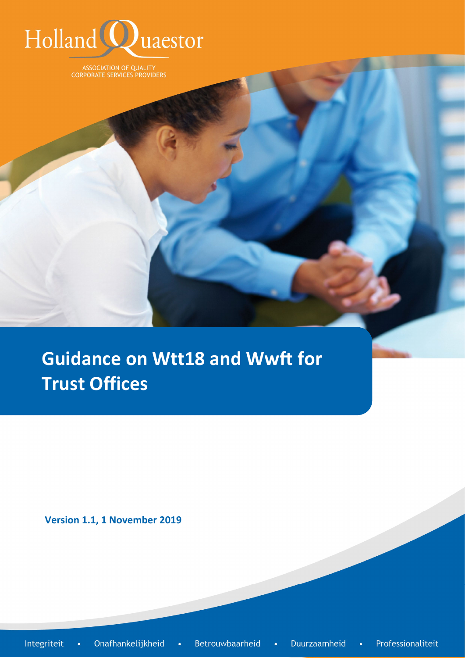

ASSOCIATION OF QUALITY<br>CORPORATE SERVICES PROVIDERS

**Guidance on Wtt18 and Wwft for Trust Offices**

**Version 1.1, 1 November 2019**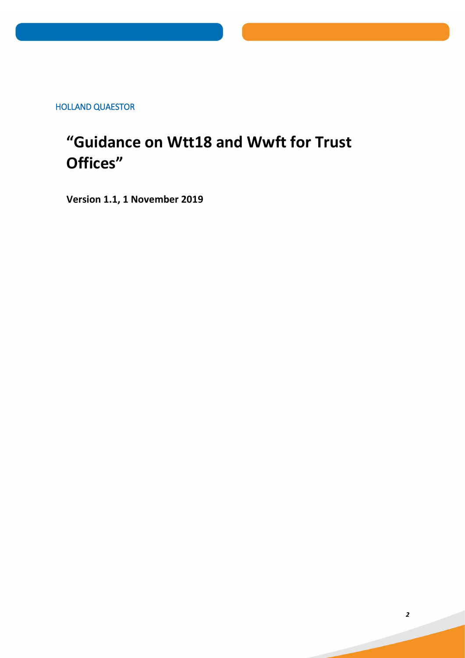HOLLAND QUAESTOR

# **"Guidance on Wtt18 and Wwft for Trust Offices"**

**Version 1.1, 1 November 2019**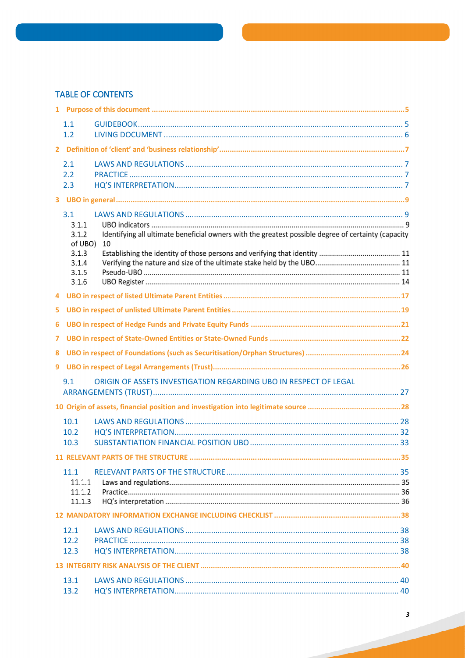# **TABLE OF CONTENTS**

|    | 1.1<br>1.2                                                           |                                                                                                           |  |  |  |  |
|----|----------------------------------------------------------------------|-----------------------------------------------------------------------------------------------------------|--|--|--|--|
|    |                                                                      |                                                                                                           |  |  |  |  |
|    | 2.1<br>2.2<br>2.3                                                    |                                                                                                           |  |  |  |  |
|    |                                                                      |                                                                                                           |  |  |  |  |
|    | 3.1<br>3.1.1<br>3.1.2<br>of UBO)<br>3.1.3<br>3.1.4<br>3.1.5<br>3.1.6 | Identifying all ultimate beneficial owners with the greatest possible degree of certainty (capacity<br>10 |  |  |  |  |
|    |                                                                      |                                                                                                           |  |  |  |  |
| 5. |                                                                      |                                                                                                           |  |  |  |  |
| 6  |                                                                      |                                                                                                           |  |  |  |  |
| 7  |                                                                      |                                                                                                           |  |  |  |  |
| 8  |                                                                      |                                                                                                           |  |  |  |  |
| 9  |                                                                      |                                                                                                           |  |  |  |  |
|    | 9.1                                                                  | ORIGIN OF ASSETS INVESTIGATION REGARDING UBO IN RESPECT OF LEGAL                                          |  |  |  |  |
|    |                                                                      |                                                                                                           |  |  |  |  |
|    | 10.1<br>10.2<br>10.3                                                 |                                                                                                           |  |  |  |  |
|    |                                                                      |                                                                                                           |  |  |  |  |
|    | 11.1<br>11.1.1<br>11.1.2<br>11.1.3                                   |                                                                                                           |  |  |  |  |
|    |                                                                      |                                                                                                           |  |  |  |  |
|    | 12.1<br>12.2<br>12.3                                                 |                                                                                                           |  |  |  |  |
|    |                                                                      |                                                                                                           |  |  |  |  |
|    | 13.1<br>13.2                                                         |                                                                                                           |  |  |  |  |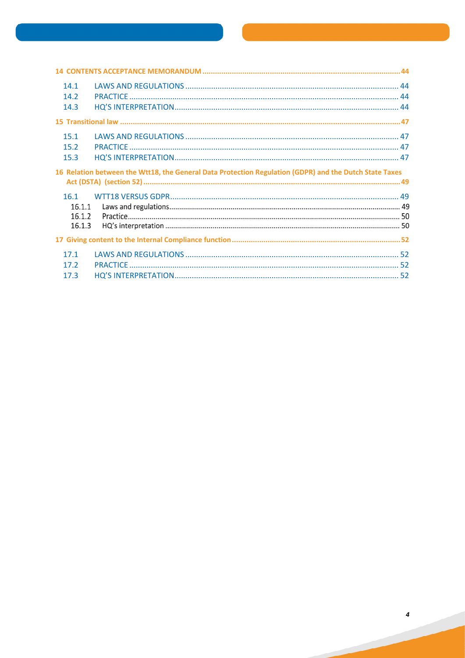| 14.1<br>14.2<br>14.3                                                                                   |  |  |  |  |  |  |
|--------------------------------------------------------------------------------------------------------|--|--|--|--|--|--|
|                                                                                                        |  |  |  |  |  |  |
| 15.1<br>15.2<br>15.3                                                                                   |  |  |  |  |  |  |
| 16 Relation between the Wtt18, the General Data Protection Regulation (GDPR) and the Dutch State Taxes |  |  |  |  |  |  |
| 16.1<br>16.1.1<br>16.1.2<br>16.1.3                                                                     |  |  |  |  |  |  |
|                                                                                                        |  |  |  |  |  |  |
| 17.1<br>17.2<br>17.3                                                                                   |  |  |  |  |  |  |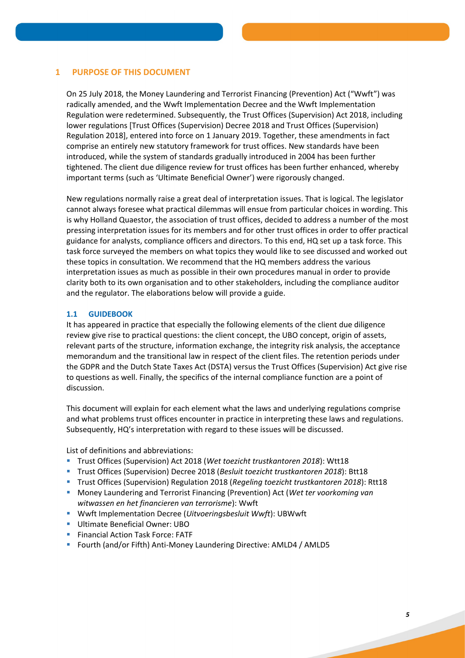# **1 PURPOSE OF THIS DOCUMENT**

On 25 July 2018, the Money Laundering and Terrorist Financing (Prevention) Act ("Wwft") was radically amended, and the Wwft Implementation Decree and the Wwft Implementation Regulation were redetermined. Subsequently, the Trust Offices (Supervision) Act 2018, including lower regulations [Trust Offices (Supervision) Decree 2018 and Trust Offices (Supervision) Regulation 2018], entered into force on 1 January 2019. Together, these amendments in fact comprise an entirely new statutory framework for trust offices. New standards have been introduced, while the system of standards gradually introduced in 2004 has been further tightened. The client due diligence review for trust offices has been further enhanced, whereby important terms (such as 'Ultimate Beneficial Owner') were rigorously changed.

New regulations normally raise a great deal of interpretation issues. That is logical. The legislator cannot always foresee what practical dilemmas will ensue from particular choices in wording. This is why Holland Quaestor, the association of trust offices, decided to address a number of the most pressing interpretation issues for its members and for other trust offices in order to offer practical guidance for analysts, compliance officers and directors. To this end, HQ set up a task force. This task force surveyed the members on what topics they would like to see discussed and worked out these topics in consultation. We recommend that the HQ members address the various interpretation issues as much as possible in their own procedures manual in order to provide clarity both to its own organisation and to other stakeholders, including the compliance auditor and the regulator. The elaborations below will provide a guide.

# **1.1 GUIDEBOOK**

It has appeared in practice that especially the following elements of the client due diligence review give rise to practical questions: the client concept, the UBO concept, origin of assets, relevant parts of the structure, information exchange, the integrity risk analysis, the acceptance memorandum and the transitional law in respect of the client files. The retention periods under the GDPR and the Dutch State Taxes Act (DSTA) versus the Trust Offices (Supervision) Act give rise to questions as well. Finally, the specifics of the internal compliance function are a point of discussion.

This document will explain for each element what the laws and underlying regulations comprise and what problems trust offices encounter in practice in interpreting these laws and regulations. Subsequently, HQ's interpretation with regard to these issues will be discussed.

List of definitions and abbreviations:

- Trust Offices (Supervision) Act 2018 (*Wet toezicht trustkantoren 2018*): Wtt18
- Trust Offices (Supervision) Decree 2018 (*Besluit toezicht trustkantoren 2018*): Btt18
- Trust Offices (Supervision) Regulation 2018 (*Regeling toezicht trustkantoren 2018*): Rtt18
- Money Laundering and Terrorist Financing (Prevention) Act (*Wet ter voorkoming van witwassen en het financieren van terrorisme*): Wwft
- Wwft Implementation Decree (*Uitvoeringsbesluit Wwft*): UBWwft
- **Ultimate Beneficial Owner: UBO**
- **Financial Action Task Force: FATF**
- Fourth (and/or Fifth) Anti-Money Laundering Directive: AMLD4 / AMLD5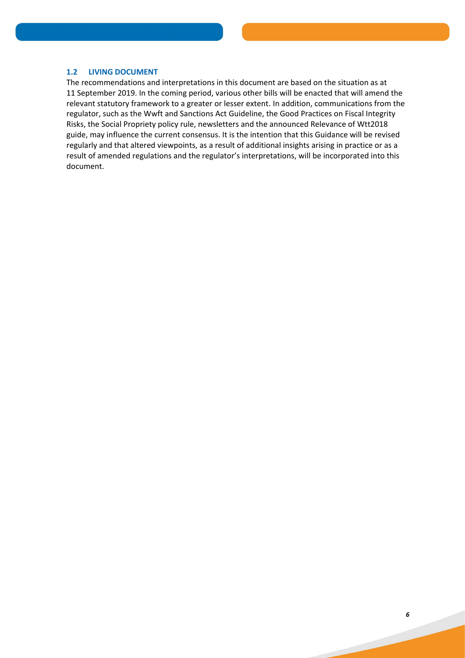## **1.2 LIVING DOCUMENT**

The recommendations and interpretations in this document are based on the situation as at 11 September 2019. In the coming period, various other bills will be enacted that will amend the relevant statutory framework to a greater or lesser extent. In addition, communications from the regulator, such as the Wwft and Sanctions Act Guideline, the Good Practices on Fiscal Integrity Risks, the Social Propriety policy rule, newsletters and the announced Relevance of Wtt2018 guide, may influence the current consensus. It is the intention that this Guidance will be revised regularly and that altered viewpoints, as a result of additional insights arising in practice or as a result of amended regulations and the regulator's interpretations, will be incorporated into this document.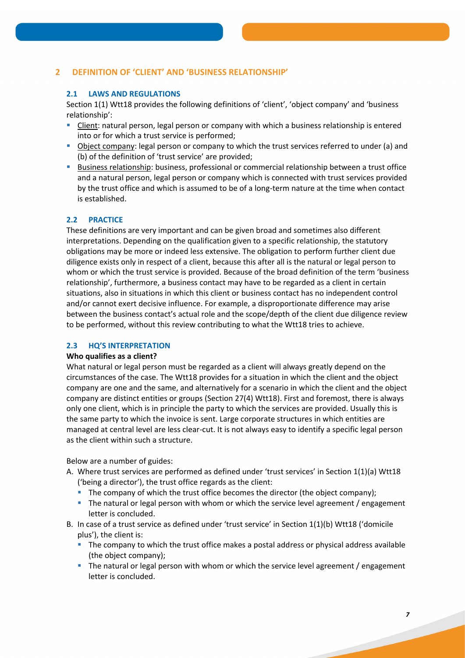# **2 DEFINITION OF 'CLIENT' AND 'BUSINESS RELATIONSHIP'**

# **2.1 LAWS AND REGULATIONS**

Section 1(1) Wtt18 provides the following definitions of 'client', 'object company' and 'business relationship':

- **Client:** natural person, legal person or company with which a business relationship is entered into or for which a trust service is performed;
- Object company: legal person or company to which the trust services referred to under (a) and (b) of the definition of 'trust service' are provided;
- Business relationship: business, professional or commercial relationship between a trust office and a natural person, legal person or company which is connected with trust services provided by the trust office and which is assumed to be of a long-term nature at the time when contact is established.

# **2.2 PRACTICE**

These definitions are very important and can be given broad and sometimes also different interpretations. Depending on the qualification given to a specific relationship, the statutory obligations may be more or indeed less extensive. The obligation to perform further client due diligence exists only in respect of a client, because this after all is the natural or legal person to whom or which the trust service is provided. Because of the broad definition of the term 'business relationship', furthermore, a business contact may have to be regarded as a client in certain situations, also in situations in which this client or business contact has no independent control and/or cannot exert decisive influence. For example, a disproportionate difference may arise between the business contact's actual role and the scope/depth of the client due diligence review to be performed, without this review contributing to what the Wtt18 tries to achieve.

## **2.3 HQ'S INTERPRETATION**

## **Who qualifies as a client?**

What natural or legal person must be regarded as a client will always greatly depend on the circumstances of the case. The Wtt18 provides for a situation in which the client and the object company are one and the same, and alternatively for a scenario in which the client and the object company are distinct entities or groups (Section 27(4) Wtt18). First and foremost, there is always only one client, which is in principle the party to which the services are provided. Usually this is the same party to which the invoice is sent. Large corporate structures in which entities are managed at central level are less clear-cut. It is not always easy to identify a specific legal person as the client within such a structure.

Below are a number of guides:

- A. Where trust services are performed as defined under 'trust services' in Section 1(1)(a) Wtt18 ('being a director'), the trust office regards as the client:
	- The company of which the trust office becomes the director (the object company);
	- The natural or legal person with whom or which the service level agreement / engagement letter is concluded.
- B. In case of a trust service as defined under 'trust service' in Section 1(1)(b) Wtt18 ('domicile plus'), the client is:
	- The company to which the trust office makes a postal address or physical address available (the object company);
	- The natural or legal person with whom or which the service level agreement / engagement letter is concluded.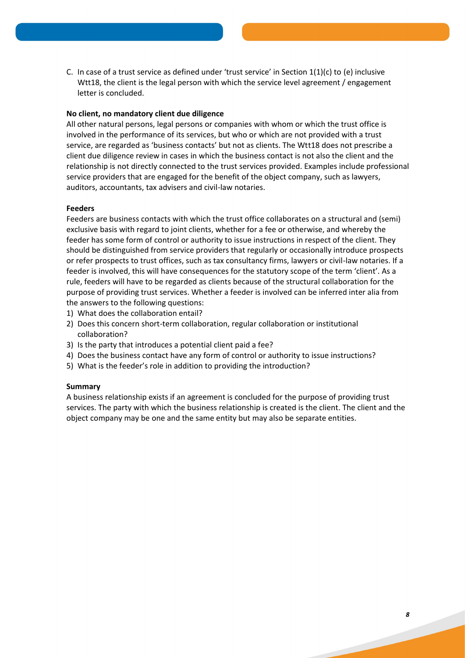C. In case of a trust service as defined under 'trust service' in Section  $1(1)(c)$  to (e) inclusive Wtt18, the client is the legal person with which the service level agreement / engagement letter is concluded.

## **No client, no mandatory client due diligence**

All other natural persons, legal persons or companies with whom or which the trust office is involved in the performance of its services, but who or which are not provided with a trust service, are regarded as 'business contacts' but not as clients. The Wtt18 does not prescribe a client due diligence review in cases in which the business contact is not also the client and the relationship is not directly connected to the trust services provided. Examples include professional service providers that are engaged for the benefit of the object company, such as lawyers, auditors, accountants, tax advisers and civil-law notaries.

## **Feeders**

Feeders are business contacts with which the trust office collaborates on a structural and (semi) exclusive basis with regard to joint clients, whether for a fee or otherwise, and whereby the feeder has some form of control or authority to issue instructions in respect of the client. They should be distinguished from service providers that regularly or occasionally introduce prospects or refer prospects to trust offices, such as tax consultancy firms, lawyers or civil-law notaries. If a feeder is involved, this will have consequences for the statutory scope of the term 'client'. As a rule, feeders will have to be regarded as clients because of the structural collaboration for the purpose of providing trust services. Whether a feeder is involved can be inferred inter alia from the answers to the following questions:

- 1) What does the collaboration entail?
- 2) Does this concern short-term collaboration, regular collaboration or institutional collaboration?
- 3) Is the party that introduces a potential client paid a fee?
- 4) Does the business contact have any form of control or authority to issue instructions?
- 5) What is the feeder's role in addition to providing the introduction?

## **Summary**

A business relationship exists if an agreement is concluded for the purpose of providing trust services. The party with which the business relationship is created is the client. The client and the object company may be one and the same entity but may also be separate entities.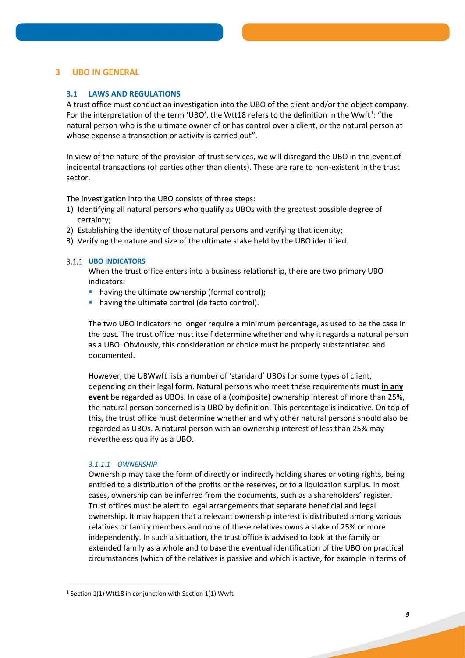# **3 UBO IN GENERAL**

# **3.1 LAWS AND REGULATIONS**

A trust office must conduct an investigation into the UBO of the client and/or the object company. For the interpretation of the term 'UBO', the Wtt18 refers to the definition in the Wwft<sup>1</sup>: "the natural person who is the ultimate owner of or has control over a client, or the natural person at whose expense a transaction or activity is carried out".

In view of the nature of the provision of trust services, we will disregard the UBO in the event of incidental transactions (of parties other than clients). These are rare to non-existent in the trust sector.

The investigation into the UBO consists of three steps:

- 1) Identifying all natural persons who qualify as UBOs with the greatest possible degree of certainty;
- 2) Establishing the identity of those natural persons and verifying that identity;
- 3) Verifying the nature and size of the ultimate stake held by the UBO identified.

## **UBO INDICATORS**

When the trust office enters into a business relationship, there are two primary UBO indicators:

- **•** having the ultimate ownership (formal control);
- having the ultimate control (de facto control).

The two UBO indicators no longer require a minimum percentage, as used to be the case in the past. The trust office must itself determine whether and why it regards a natural person as a UBO. Obviously, this consideration or choice must be properly substantiated and documented.

However, the UBWwft lists a number of 'standard' UBOs for some types of client, depending on their legal form. Natural persons who meet these requirements must **in any event** be regarded as UBOs. In case of a (composite) ownership interest of more than 25%, the natural person concerned is a UBO by definition. This percentage is indicative. On top of this, the trust office must determine whether and why other natural persons should also be regarded as UBOs. A natural person with an ownership interest of less than 25% may nevertheless qualify as a UBO.

## *3.1.1.1 OWNERSHIP*

**.** 

Ownership may take the form of directly or indirectly holding shares or voting rights, being entitled to a distribution of the profits or the reserves, or to a liquidation surplus. In most cases, ownership can be inferred from the documents, such as a shareholders' register. Trust offices must be alert to legal arrangements that separate beneficial and legal ownership. It may happen that a relevant ownership interest is distributed among various relatives or family members and none of these relatives owns a stake of 25% or more independently. In such a situation, the trust office is advised to look at the family or extended family as a whole and to base the eventual identification of the UBO on practical circumstances (which of the relatives is passive and which is active, for example in terms of

 $1$  Section 1(1) Wtt18 in conjunction with Section 1(1) Wwft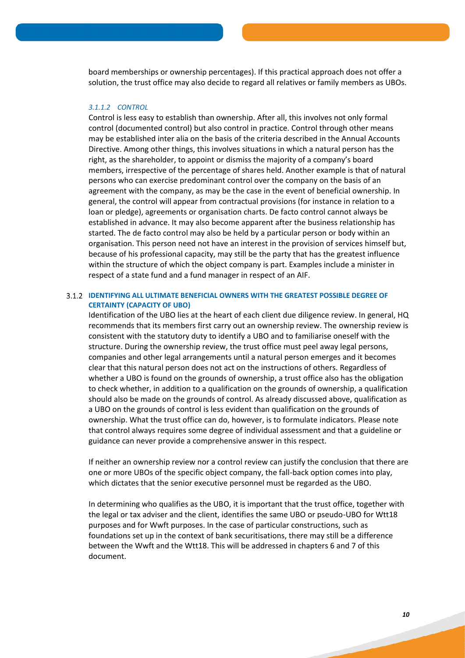board memberships or ownership percentages). If this practical approach does not offer a solution, the trust office may also decide to regard all relatives or family members as UBOs.

## *3.1.1.2 CONTROL*

Control is less easy to establish than ownership. After all, this involves not only formal control (documented control) but also control in practice. Control through other means may be established inter alia on the basis of the criteria described in the Annual Accounts Directive. Among other things, this involves situations in which a natural person has the right, as the shareholder, to appoint or dismiss the majority of a company's board members, irrespective of the percentage of shares held. Another example is that of natural persons who can exercise predominant control over the company on the basis of an agreement with the company, as may be the case in the event of beneficial ownership. In general, the control will appear from contractual provisions (for instance in relation to a loan or pledge), agreements or organisation charts. De facto control cannot always be established in advance. It may also become apparent after the business relationship has started. The de facto control may also be held by a particular person or body within an organisation. This person need not have an interest in the provision of services himself but, because of his professional capacity, may still be the party that has the greatest influence within the structure of which the object company is part. Examples include a minister in respect of a state fund and a fund manager in respect of an AIF.

# **IDENTIFYING ALL ULTIMATE BENEFICIAL OWNERS WITH THE GREATEST POSSIBLE DEGREE OF CERTAINTY (CAPACITY OF UBO)**

Identification of the UBO lies at the heart of each client due diligence review. In general, HQ recommends that its members first carry out an ownership review. The ownership review is consistent with the statutory duty to identify a UBO and to familiarise oneself with the structure. During the ownership review, the trust office must peel away legal persons, companies and other legal arrangements until a natural person emerges and it becomes clear that this natural person does not act on the instructions of others. Regardless of whether a UBO is found on the grounds of ownership, a trust office also has the obligation to check whether, in addition to a qualification on the grounds of ownership, a qualification should also be made on the grounds of control. As already discussed above, qualification as a UBO on the grounds of control is less evident than qualification on the grounds of ownership. What the trust office can do, however, is to formulate indicators. Please note that control always requires some degree of individual assessment and that a guideline or guidance can never provide a comprehensive answer in this respect.

If neither an ownership review nor a control review can justify the conclusion that there are one or more UBOs of the specific object company, the fall-back option comes into play, which dictates that the senior executive personnel must be regarded as the UBO.

In determining who qualifies as the UBO, it is important that the trust office, together with the legal or tax adviser and the client, identifies the same UBO or pseudo-UBO for Wtt18 purposes and for Wwft purposes. In the case of particular constructions, such as foundations set up in the context of bank securitisations, there may still be a difference between the Wwft and the Wtt18. This will be addressed in chapters 6 and 7 of this document.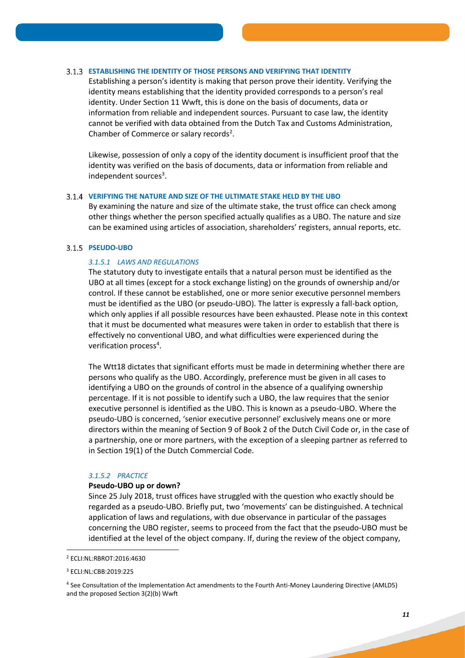#### **ESTABLISHING THE IDENTITY OF THOSE PERSONS AND VERIFYING THAT IDENTITY**

Establishing a person's identity is making that person prove their identity. Verifying the identity means establishing that the identity provided corresponds to a person's real identity. Under Section 11 Wwft, this is done on the basis of documents, data or information from reliable and independent sources. Pursuant to case law, the identity cannot be verified with data obtained from the Dutch Tax and Customs Administration, Chamber of Commerce or salary records<sup>2</sup>.

Likewise, possession of only a copy of the identity document is insufficient proof that the identity was verified on the basis of documents, data or information from reliable and independent sources<sup>3</sup>.

#### **VERIFYING THE NATURE AND SIZE OF THE ULTIMATE STAKE HELD BY THE UBO**

By examining the nature and size of the ultimate stake, the trust office can check among other things whether the person specified actually qualifies as a UBO. The nature and size can be examined using articles of association, shareholders' registers, annual reports, etc.

#### **PSEUDO-UBO**

# *3.1.5.1 LAWS AND REGULATIONS*

The statutory duty to investigate entails that a natural person must be identified as the UBO at all times (except for a stock exchange listing) on the grounds of ownership and/or control. If these cannot be established, one or more senior executive personnel members must be identified as the UBO (or pseudo-UBO). The latter is expressly a fall-back option, which only applies if all possible resources have been exhausted. Please note in this context that it must be documented what measures were taken in order to establish that there is effectively no conventional UBO, and what difficulties were experienced during the verification process<sup>4</sup>.

The Wtt18 dictates that significant efforts must be made in determining whether there are persons who qualify as the UBO. Accordingly, preference must be given in all cases to identifying a UBO on the grounds of control in the absence of a qualifying ownership percentage. If it is not possible to identify such a UBO, the law requires that the senior executive personnel is identified as the UBO. This is known as a pseudo-UBO. Where the pseudo-UBO is concerned, 'senior executive personnel' exclusively means one or more directors within the meaning of Section 9 of Book 2 of the Dutch Civil Code or, in the case of a partnership, one or more partners, with the exception of a sleeping partner as referred to in Section 19(1) of the Dutch Commercial Code.

#### *3.1.5.2 PRACTICE*

#### **Pseudo-UBO up or down?**

Since 25 July 2018, trust offices have struggled with the question who exactly should be regarded as a pseudo-UBO. Briefly put, two 'movements' can be distinguished. A technical application of laws and regulations, with due observance in particular of the passages concerning the UBO register, seems to proceed from the fact that the pseudo-UBO must be identified at the level of the object company. If, during the review of the object company,

1

<sup>2</sup> ECLI:NL:RBROT:2016:4630

<sup>3</sup> ECLI:NL:CBB:2019:225

<sup>4</sup> See Consultation of the Implementation Act amendments to the Fourth Anti-Money Laundering Directive (AMLD5) and the proposed Section 3(2)(b) Wwft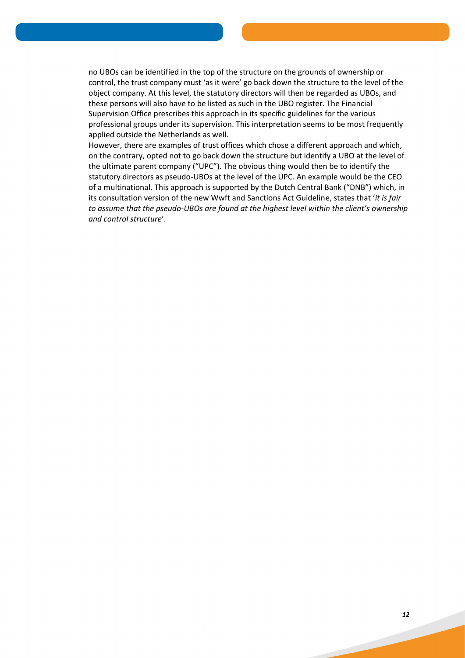no UBOs can be identified in the top of the structure on the grounds of ownership or control, the trust company must 'as it were' go back down the structure to the level of the object company. At this level, the statutory directors will then be regarded as UBOs, and these persons will also have to be listed as such in the UBO register. The Financial Supervision Office prescribes this approach in its specific guidelines for the various professional groups under its supervision. This interpretation seems to be most frequently applied outside the Netherlands as well.

However, there are examples of trust offices which chose a different approach and which, on the contrary, opted not to go back down the structure but identify a UBO at the level of the ultimate parent company ("UPC"). The obvious thing would then be to identify the statutory directors as pseudo-UBOs at the level of the UPC. An example would be the CEO of a multinational. This approach is supported by the Dutch Central Bank ("DNB") which, in its consultation version of the new Wwft and Sanctions Act Guideline, states that '*it is fair to assume that the pseudo-UBOs are found at the highest level within the client's ownership and control structure*'.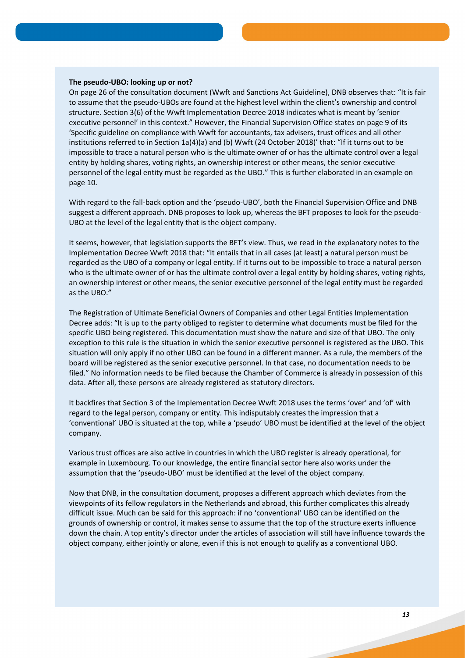#### **The pseudo-UBO: looking up or not?**

On page 26 of the consultation document (Wwft and Sanctions Act Guideline), DNB observes that: "It is fair to assume that the pseudo-UBOs are found at the highest level within the client's ownership and control structure. Section 3(6) of the Wwft Implementation Decree 2018 indicates what is meant by 'senior executive personnel' in this context." However, the Financial Supervision Office states on page 9 of its 'Specific guideline on compliance with Wwft for accountants, tax advisers, trust offices and all other institutions referred to in Section 1a(4)(a) and (b) Wwft (24 October 2018)' that: "If it turns out to be impossible to trace a natural person who is the ultimate owner of or has the ultimate control over a legal entity by holding shares, voting rights, an ownership interest or other means, the senior executive personnel of the legal entity must be regarded as the UBO." This is further elaborated in an example on page 10.

With regard to the fall-back option and the 'pseudo-UBO', both the Financial Supervision Office and DNB suggest a different approach. DNB proposes to look up, whereas the BFT proposes to look for the pseudo-UBO at the level of the legal entity that is the object company.

It seems, however, that legislation supports the BFT's view. Thus, we read in the explanatory notes to the Implementation Decree Wwft 2018 that: "It entails that in all cases (at least) a natural person must be regarded as the UBO of a company or legal entity. If it turns out to be impossible to trace a natural person who is the ultimate owner of or has the ultimate control over a legal entity by holding shares, voting rights, an ownership interest or other means, the senior executive personnel of the legal entity must be regarded as the UBO."

The Registration of Ultimate Beneficial Owners of Companies and other Legal Entities Implementation Decree adds: "It is up to the party obliged to register to determine what documents must be filed for the specific UBO being registered. This documentation must show the nature and size of that UBO. The only exception to this rule is the situation in which the senior executive personnel is registered as the UBO. This situation will only apply if no other UBO can be found in a different manner. As a rule, the members of the board will be registered as the senior executive personnel. In that case, no documentation needs to be filed." No information needs to be filed because the Chamber of Commerce is already in possession of this data. After all, these persons are already registered as statutory directors.

It backfires that Section 3 of the Implementation Decree Wwft 2018 uses the terms 'over' and 'of' with regard to the legal person, company or entity. This indisputably creates the impression that a 'conventional' UBO is situated at the top, while a 'pseudo' UBO must be identified at the level of the object company.

Various trust offices are also active in countries in which the UBO register is already operational, for example in Luxembourg. To our knowledge, the entire financial sector here also works under the assumption that the 'pseudo-UBO' must be identified at the level of the object company.

Now that DNB, in the consultation document, proposes a different approach which deviates from the viewpoints of its fellow regulators in the Netherlands and abroad, this further complicates this already difficult issue. Much can be said for this approach: if no 'conventional' UBO can be identified on the grounds of ownership or control, it makes sense to assume that the top of the structure exerts influence down the chain. A top entity's director under the articles of association will still have influence towards the object company, either jointly or alone, even if this is not enough to qualify as a conventional UBO.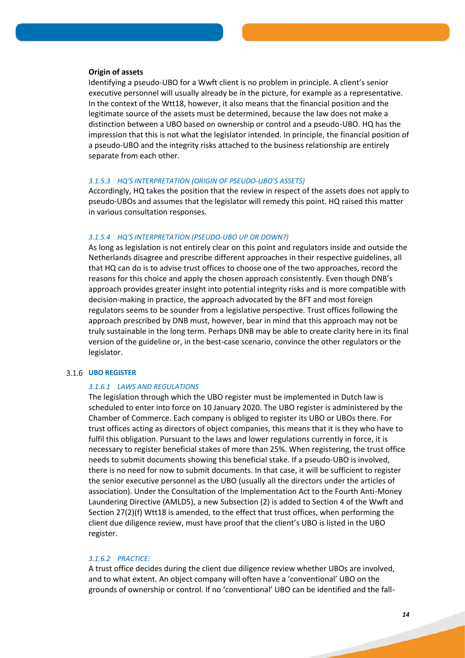#### **Origin of assets**

Identifying a pseudo-UBO for a Wwft client is no problem in principle. A client's senior executive personnel will usually already be in the picture, for example as a representative. In the context of the Wtt18, however, it also means that the financial position and the legitimate source of the assets must be determined, because the law does not make a distinction between a UBO based on ownership or control and a pseudo-UBO. HQ has the impression that this is not what the legislator intended. In principle, the financial position of a pseudo-UBO and the integrity risks attached to the business relationship are entirely separate from each other.

#### *3.1.5.3 HQ'S INTERPRETATION (ORIGIN OF PSEUDO-UBO'S ASSETS)*

Accordingly, HQ takes the position that the review in respect of the assets does not apply to pseudo-UBOs and assumes that the legislator will remedy this point. HQ raised this matter in various consultation responses.

#### *3.1.5.4 HQ'S INTERPRETATION (PSEUDO-UBO UP OR DOWN?)*

As long as legislation is not entirely clear on this point and regulators inside and outside the Netherlands disagree and prescribe different approaches in their respective guidelines, all that HQ can do is to advise trust offices to choose one of the two approaches, record the reasons for this choice and apply the chosen approach consistently. Even though DNB's approach provides greater insight into potential integrity risks and is more compatible with decision-making in practice, the approach advocated by the BFT and most foreign regulators seems to be sounder from a legislative perspective. Trust offices following the approach prescribed by DNB must, however, bear in mind that this approach may not be truly sustainable in the long term. Perhaps DNB may be able to create clarity here in its final version of the guideline or, in the best-case scenario, convince the other regulators or the legislator.

#### **UBO REGISTER**

#### *3.1.6.1 LAWS AND REGULATIONS*

The legislation through which the UBO register must be implemented in Dutch law is scheduled to enter into force on 10 January 2020. The UBO register is administered by the Chamber of Commerce. Each company is obliged to register its UBO or UBOs there. For trust offices acting as directors of object companies, this means that it is they who have to fulfil this obligation. Pursuant to the laws and lower regulations currently in force, it is necessary to register beneficial stakes of more than 25%. When registering, the trust office needs to submit documents showing this beneficial stake. If a pseudo-UBO is involved, there is no need for now to submit documents. In that case, it will be sufficient to register the senior executive personnel as the UBO (usually all the directors under the articles of association). Under the Consultation of the Implementation Act to the Fourth Anti-Money Laundering Directive (AMLD5), a new Subsection (2) is added to Section 4 of the Wwft and Section 27(2)(f) Wtt18 is amended, to the effect that trust offices, when performing the client due diligence review, must have proof that the client's UBO is listed in the UBO register.

## *3.1.6.2 PRACTICE:*

A trust office decides during the client due diligence review whether UBOs are involved, and to what extent. An object company will often have a 'conventional' UBO on the grounds of ownership or control. If no 'conventional' UBO can be identified and the fall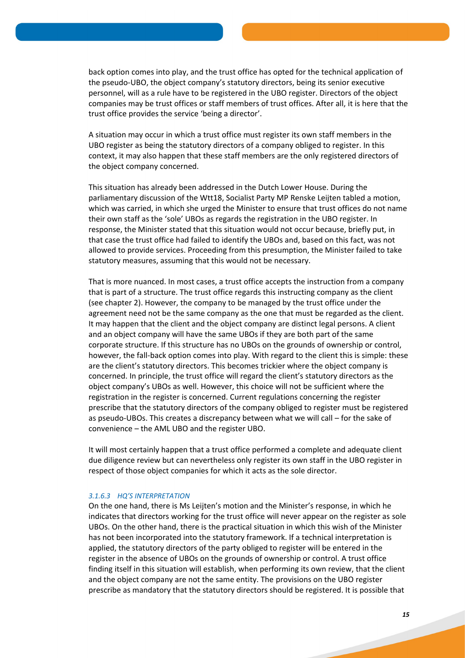back option comes into play, and the trust office has opted for the technical application of the pseudo-UBO, the object company's statutory directors, being its senior executive personnel, will as a rule have to be registered in the UBO register. Directors of the object companies may be trust offices or staff members of trust offices. After all, it is here that the trust office provides the service 'being a director'.

A situation may occur in which a trust office must register its own staff members in the UBO register as being the statutory directors of a company obliged to register. In this context, it may also happen that these staff members are the only registered directors of the object company concerned.

This situation has already been addressed in the Dutch Lower House. During the parliamentary discussion of the Wtt18, Socialist Party MP Renske Leijten tabled a motion, which was carried, in which she urged the Minister to ensure that trust offices do not name their own staff as the 'sole' UBOs as regards the registration in the UBO register. In response, the Minister stated that this situation would not occur because, briefly put, in that case the trust office had failed to identify the UBOs and, based on this fact, was not allowed to provide services. Proceeding from this presumption, the Minister failed to take statutory measures, assuming that this would not be necessary.

That is more nuanced. In most cases, a trust office accepts the instruction from a company that is part of a structure. The trust office regards this instructing company as the client (see chapter 2). However, the company to be managed by the trust office under the agreement need not be the same company as the one that must be regarded as the client. It may happen that the client and the object company are distinct legal persons. A client and an object company will have the same UBOs if they are both part of the same corporate structure. If this structure has no UBOs on the grounds of ownership or control, however, the fall-back option comes into play. With regard to the client this is simple: these are the client's statutory directors. This becomes trickier where the object company is concerned. In principle, the trust office will regard the client's statutory directors as the object company's UBOs as well. However, this choice will not be sufficient where the registration in the register is concerned. Current regulations concerning the register prescribe that the statutory directors of the company obliged to register must be registered as pseudo-UBOs. This creates a discrepancy between what we will call – for the sake of convenience – the AML UBO and the register UBO.

It will most certainly happen that a trust office performed a complete and adequate client due diligence review but can nevertheless only register its own staff in the UBO register in respect of those object companies for which it acts as the sole director.

## *3.1.6.3 HQ'S INTERPRETATION*

On the one hand, there is Ms Leijten's motion and the Minister's response, in which he indicates that directors working for the trust office will never appear on the register as sole UBOs. On the other hand, there is the practical situation in which this wish of the Minister has not been incorporated into the statutory framework. If a technical interpretation is applied, the statutory directors of the party obliged to register will be entered in the register in the absence of UBOs on the grounds of ownership or control. A trust office finding itself in this situation will establish, when performing its own review, that the client and the object company are not the same entity. The provisions on the UBO register prescribe as mandatory that the statutory directors should be registered. It is possible that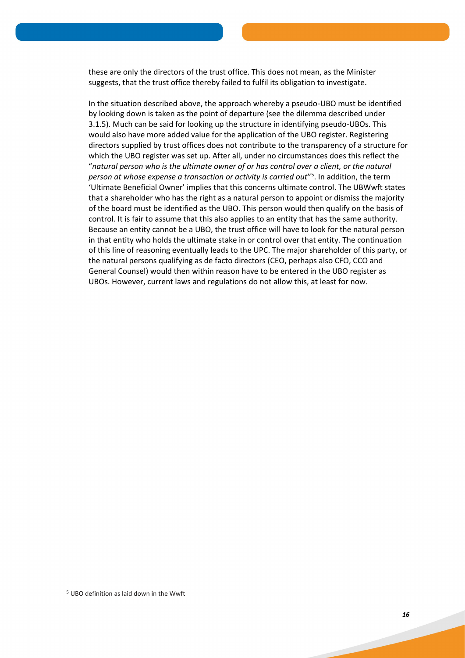these are only the directors of the trust office. This does not mean, as the Minister suggests, that the trust office thereby failed to fulfil its obligation to investigate.

In the situation described above, the approach whereby a pseudo-UBO must be identified by looking down is taken as the point of departure (see the dilemma described under 3.1.5). Much can be said for looking up the structure in identifying pseudo-UBOs. This would also have more added value for the application of the UBO register. Registering directors supplied by trust offices does not contribute to the transparency of a structure for which the UBO register was set up. After all, under no circumstances does this reflect the "*natural person who is the ultimate owner of or has control over a client, or the natural person at whose expense a transaction or activity is carried out*" 5 . In addition, the term 'Ultimate Beneficial Owner' implies that this concerns ultimate control. The UBWwft states that a shareholder who has the right as a natural person to appoint or dismiss the majority of the board must be identified as the UBO. This person would then qualify on the basis of control. It is fair to assume that this also applies to an entity that has the same authority. Because an entity cannot be a UBO, the trust office will have to look for the natural person in that entity who holds the ultimate stake in or control over that entity. The continuation of this line of reasoning eventually leads to the UPC. The major shareholder of this party, or the natural persons qualifying as de facto directors (CEO, perhaps also CFO, CCO and General Counsel) would then within reason have to be entered in the UBO register as UBOs. However, current laws and regulations do not allow this, at least for now.

**.** 

<sup>5</sup> UBO definition as laid down in the Wwft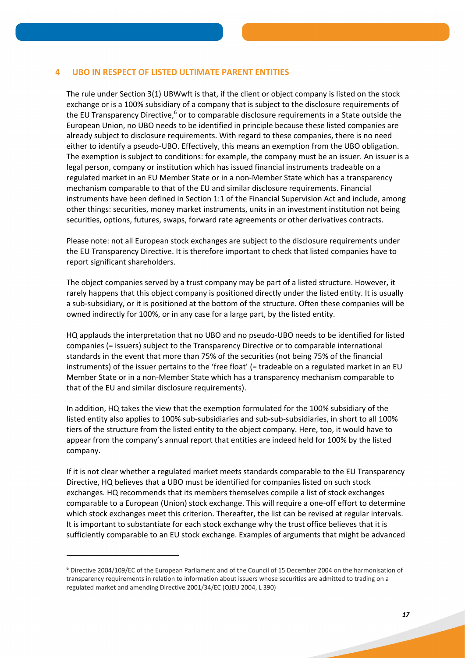## **4 UBO IN RESPECT OF LISTED ULTIMATE PARENT ENTITIES**

The rule under Section 3(1) UBWwft is that, if the client or object company is listed on the stock exchange or is a 100% subsidiary of a company that is subject to the disclosure requirements of the EU Transparency Directive,<sup>6</sup> or to comparable disclosure requirements in a State outside the European Union, no UBO needs to be identified in principle because these listed companies are already subject to disclosure requirements. With regard to these companies, there is no need either to identify a pseudo-UBO. Effectively, this means an exemption from the UBO obligation. The exemption is subject to conditions: for example, the company must be an issuer. An issuer is a legal person, company or institution which has issued financial instruments tradeable on a regulated market in an EU Member State or in a non-Member State which has a transparency mechanism comparable to that of the EU and similar disclosure requirements. Financial instruments have been defined in Section 1:1 of the Financial Supervision Act and include, among other things: securities, money market instruments, units in an investment institution not being securities, options, futures, swaps, forward rate agreements or other derivatives contracts.

Please note: not all European stock exchanges are subject to the disclosure requirements under the EU Transparency Directive. It is therefore important to check that listed companies have to report significant shareholders.

The object companies served by a trust company may be part of a listed structure. However, it rarely happens that this object company is positioned directly under the listed entity. It is usually a sub-subsidiary, or it is positioned at the bottom of the structure. Often these companies will be owned indirectly for 100%, or in any case for a large part, by the listed entity.

HQ applauds the interpretation that no UBO and no pseudo-UBO needs to be identified for listed companies (= issuers) subject to the Transparency Directive or to comparable international standards in the event that more than 75% of the securities (not being 75% of the financial instruments) of the issuer pertains to the 'free float' (= tradeable on a regulated market in an EU Member State or in a non-Member State which has a transparency mechanism comparable to that of the EU and similar disclosure requirements).

In addition, HQ takes the view that the exemption formulated for the 100% subsidiary of the listed entity also applies to 100% sub-subsidiaries and sub-sub-subsidiaries, in short to all 100% tiers of the structure from the listed entity to the object company. Here, too, it would have to appear from the company's annual report that entities are indeed held for 100% by the listed company.

If it is not clear whether a regulated market meets standards comparable to the EU Transparency Directive, HQ believes that a UBO must be identified for companies listed on such stock exchanges. HQ recommends that its members themselves compile a list of stock exchanges comparable to a European (Union) stock exchange. This will require a one-off effort to determine which stock exchanges meet this criterion. Thereafter, the list can be revised at regular intervals. It is important to substantiate for each stock exchange why the trust office believes that it is sufficiently comparable to an EU stock exchange. Examples of arguments that might be advanced

**.** 

<sup>6</sup> Directive 2004/109/EC of the European Parliament and of the Council of 15 December 2004 on the harmonisation of transparency requirements in relation to information about issuers whose securities are admitted to trading on a regulated market and amending Directive 2001/34/EC (OJEU 2004, L 390)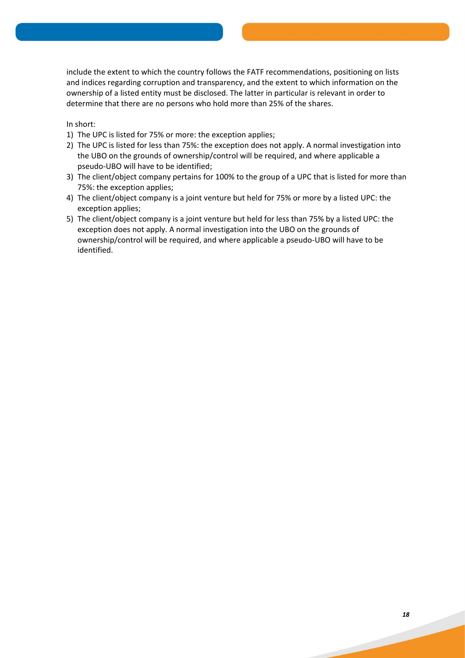include the extent to which the country follows the FATF recommendations, positioning on lists and indices regarding corruption and transparency, and the extent to which information on the ownership of a listed entity must be disclosed. The latter in particular is relevant in order to determine that there are no persons who hold more than 25% of the shares.

In short:

- 1) The UPC is listed for 75% or more: the exception applies;
- 2) The UPC is listed for less than 75%: the exception does not apply. A normal investigation into the UBO on the grounds of ownership/control will be required, and where applicable a pseudo-UBO will have to be identified;
- 3) The client/object company pertains for 100% to the group of a UPC that is listed for more than 75%: the exception applies;
- 4) The client/object company is a joint venture but held for 75% or more by a listed UPC: the exception applies;
- 5) The client/object company is a joint venture but held for less than 75% by a listed UPC: the exception does not apply. A normal investigation into the UBO on the grounds of ownership/control will be required, and where applicable a pseudo-UBO will have to be identified.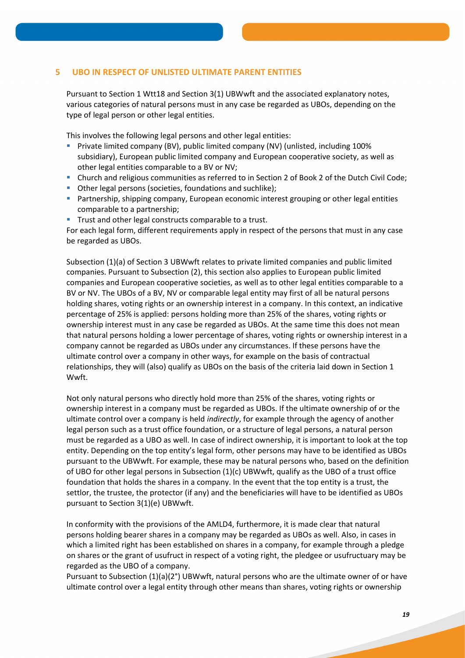# **5 UBO IN RESPECT OF UNLISTED ULTIMATE PARENT ENTITIES**

Pursuant to Section 1 Wtt18 and Section 3(1) UBWwft and the associated explanatory notes, various categories of natural persons must in any case be regarded as UBOs, depending on the type of legal person or other legal entities.

This involves the following legal persons and other legal entities:

- Private limited company (BV), public limited company (NV) (unlisted, including 100% subsidiary), European public limited company and European cooperative society, as well as other legal entities comparable to a BV or NV;
- Church and religious communities as referred to in Section 2 of Book 2 of the Dutch Civil Code;
- Other legal persons (societies, foundations and suchlike);
- **Partnership, shipping company, European economic interest grouping or other legal entities** comparable to a partnership;
- **Trust and other legal constructs comparable to a trust.**

For each legal form, different requirements apply in respect of the persons that must in any case be regarded as UBOs.

Subsection (1)(a) of Section 3 UBWwft relates to private limited companies and public limited companies. Pursuant to Subsection (2), this section also applies to European public limited companies and European cooperative societies, as well as to other legal entities comparable to a BV or NV. The UBOs of a BV, NV or comparable legal entity may first of all be natural persons holding shares, voting rights or an ownership interest in a company. In this context, an indicative percentage of 25% is applied: persons holding more than 25% of the shares, voting rights or ownership interest must in any case be regarded as UBOs. At the same time this does not mean that natural persons holding a lower percentage of shares, voting rights or ownership interest in a company cannot be regarded as UBOs under any circumstances. If these persons have the ultimate control over a company in other ways, for example on the basis of contractual relationships, they will (also) qualify as UBOs on the basis of the criteria laid down in Section 1 Wwft.

Not only natural persons who directly hold more than 25% of the shares, voting rights or ownership interest in a company must be regarded as UBOs. If the ultimate ownership of or the ultimate control over a company is held *indirectly*, for example through the agency of another legal person such as a trust office foundation, or a structure of legal persons, a natural person must be regarded as a UBO as well. In case of indirect ownership, it is important to look at the top entity. Depending on the top entity's legal form, other persons may have to be identified as UBOs pursuant to the UBWwft. For example, these may be natural persons who, based on the definition of UBO for other legal persons in Subsection (1)(c) UBWwft, qualify as the UBO of a trust office foundation that holds the shares in a company. In the event that the top entity is a trust, the settlor, the trustee, the protector (if any) and the beneficiaries will have to be identified as UBOs pursuant to Section 3(1)(e) UBWwft.

In conformity with the provisions of the AMLD4, furthermore, it is made clear that natural persons holding bearer shares in a company may be regarded as UBOs as well. Also, in cases in which a limited right has been established on shares in a company, for example through a pledge on shares or the grant of usufruct in respect of a voting right, the pledgee or usufructuary may be regarded as the UBO of a company.

Pursuant to Subsection (1)(a)(2°) UBWwft, natural persons who are the ultimate owner of or have ultimate control over a legal entity through other means than shares, voting rights or ownership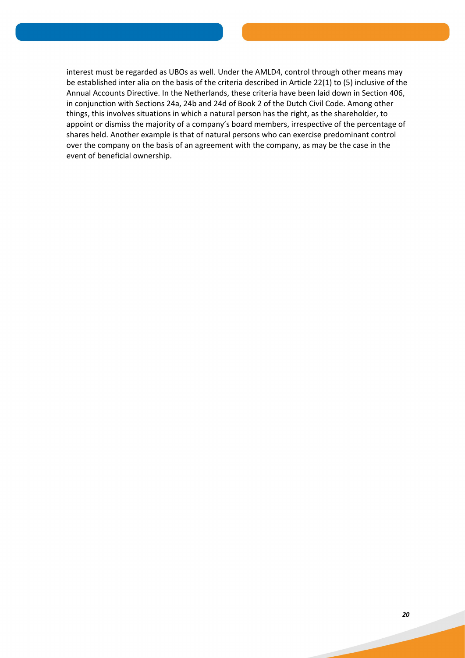interest must be regarded as UBOs as well. Under the AMLD4, control through other means may be established inter alia on the basis of the criteria described in Article 22(1) to (5) inclusive of the Annual Accounts Directive. In the Netherlands, these criteria have been laid down in Section 406, in conjunction with Sections 24a, 24b and 24d of Book 2 of the Dutch Civil Code. Among other things, this involves situations in which a natural person has the right, as the shareholder, to appoint or dismiss the majority of a company's board members, irrespective of the percentage of shares held. Another example is that of natural persons who can exercise predominant control over the company on the basis of an agreement with the company, as may be the case in the event of beneficial ownership.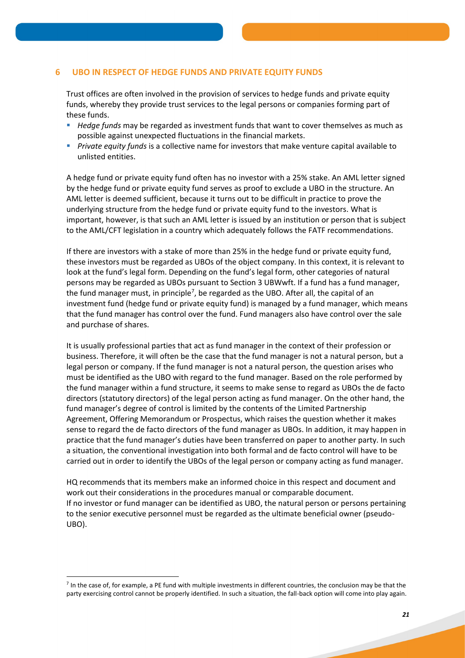# **6 UBO IN RESPECT OF HEDGE FUNDS AND PRIVATE EQUITY FUNDS**

Trust offices are often involved in the provision of services to hedge funds and private equity funds, whereby they provide trust services to the legal persons or companies forming part of these funds.

- *Hedge funds* may be regarded as investment funds that want to cover themselves as much as possible against unexpected fluctuations in the financial markets.
- *Private equity funds* is a collective name for investors that make venture capital available to unlisted entities.

A hedge fund or private equity fund often has no investor with a 25% stake. An AML letter signed by the hedge fund or private equity fund serves as proof to exclude a UBO in the structure. An AML letter is deemed sufficient, because it turns out to be difficult in practice to prove the underlying structure from the hedge fund or private equity fund to the investors. What is important, however, is that such an AML letter is issued by an institution or person that is subject to the AML/CFT legislation in a country which adequately follows the FATF recommendations.

If there are investors with a stake of more than 25% in the hedge fund or private equity fund, these investors must be regarded as UBOs of the object company. In this context, it is relevant to look at the fund's legal form. Depending on the fund's legal form, other categories of natural persons may be regarded as UBOs pursuant to Section 3 UBWwft. If a fund has a fund manager, the fund manager must, in principle<sup>7</sup>, be regarded as the UBO. After all, the capital of an investment fund (hedge fund or private equity fund) is managed by a fund manager, which means that the fund manager has control over the fund. Fund managers also have control over the sale and purchase of shares.

It is usually professional parties that act as fund manager in the context of their profession or business. Therefore, it will often be the case that the fund manager is not a natural person, but a legal person or company. If the fund manager is not a natural person, the question arises who must be identified as the UBO with regard to the fund manager. Based on the role performed by the fund manager within a fund structure, it seems to make sense to regard as UBOs the de facto directors (statutory directors) of the legal person acting as fund manager. On the other hand, the fund manager's degree of control is limited by the contents of the Limited Partnership Agreement, Offering Memorandum or Prospectus, which raises the question whether it makes sense to regard the de facto directors of the fund manager as UBOs. In addition, it may happen in practice that the fund manager's duties have been transferred on paper to another party. In such a situation, the conventional investigation into both formal and de facto control will have to be carried out in order to identify the UBOs of the legal person or company acting as fund manager.

HQ recommends that its members make an informed choice in this respect and document and work out their considerations in the procedures manual or comparable document. If no investor or fund manager can be identified as UBO, the natural person or persons pertaining to the senior executive personnel must be regarded as the ultimate beneficial owner (pseudo-UBO).

**.** 

<sup>&</sup>lt;sup>7</sup> In the case of, for example, a PE fund with multiple investments in different countries, the conclusion may be that the party exercising control cannot be properly identified. In such a situation, the fall-back option will come into play again.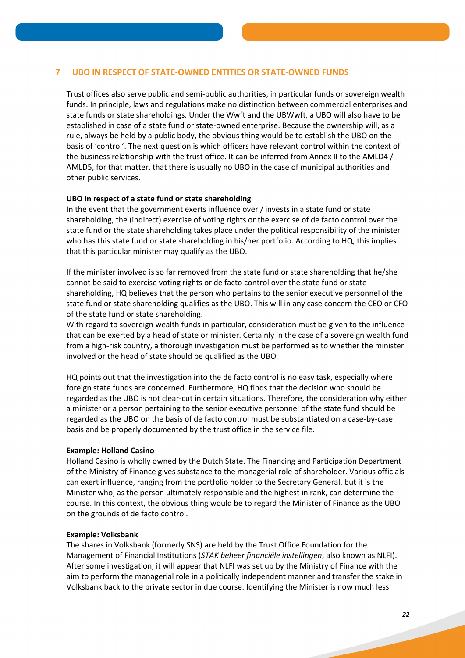# **7 UBO IN RESPECT OF STATE-OWNED ENTITIES OR STATE-OWNED FUNDS**

Trust offices also serve public and semi-public authorities, in particular funds or sovereign wealth funds. In principle, laws and regulations make no distinction between commercial enterprises and state funds or state shareholdings. Under the Wwft and the UBWwft, a UBO will also have to be established in case of a state fund or state-owned enterprise. Because the ownership will, as a rule, always be held by a public body, the obvious thing would be to establish the UBO on the basis of 'control'. The next question is which officers have relevant control within the context of the business relationship with the trust office. It can be inferred from Annex II to the AMLD4 / AMLD5, for that matter, that there is usually no UBO in the case of municipal authorities and other public services.

## **UBO in respect of a state fund or state shareholding**

In the event that the government exerts influence over / invests in a state fund or state shareholding, the (indirect) exercise of voting rights or the exercise of de facto control over the state fund or the state shareholding takes place under the political responsibility of the minister who has this state fund or state shareholding in his/her portfolio. According to HQ, this implies that this particular minister may qualify as the UBO.

If the minister involved is so far removed from the state fund or state shareholding that he/she cannot be said to exercise voting rights or de facto control over the state fund or state shareholding, HQ believes that the person who pertains to the senior executive personnel of the state fund or state shareholding qualifies as the UBO. This will in any case concern the CEO or CFO of the state fund or state shareholding.

With regard to sovereign wealth funds in particular, consideration must be given to the influence that can be exerted by a head of state or minister. Certainly in the case of a sovereign wealth fund from a high-risk country, a thorough investigation must be performed as to whether the minister involved or the head of state should be qualified as the UBO.

HQ points out that the investigation into the de facto control is no easy task, especially where foreign state funds are concerned. Furthermore, HQ finds that the decision who should be regarded as the UBO is not clear-cut in certain situations. Therefore, the consideration why either a minister or a person pertaining to the senior executive personnel of the state fund should be regarded as the UBO on the basis of de facto control must be substantiated on a case-by-case basis and be properly documented by the trust office in the service file.

## **Example: Holland Casino**

Holland Casino is wholly owned by the Dutch State. The Financing and Participation Department of the Ministry of Finance gives substance to the managerial role of shareholder. Various officials can exert influence, ranging from the portfolio holder to the Secretary General, but it is the Minister who, as the person ultimately responsible and the highest in rank, can determine the course. In this context, the obvious thing would be to regard the Minister of Finance as the UBO on the grounds of de facto control.

## **Example: Volksbank**

The shares in Volksbank (formerly SNS) are held by the Trust Office Foundation for the Management of Financial Institutions (*STAK beheer financiële instellingen*, also known as NLFI). After some investigation, it will appear that NLFI was set up by the Ministry of Finance with the aim to perform the managerial role in a politically independent manner and transfer the stake in Volksbank back to the private sector in due course. Identifying the Minister is now much less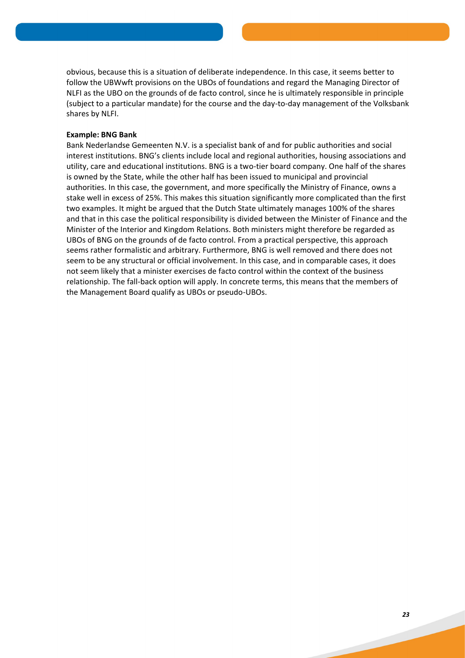obvious, because this is a situation of deliberate independence. In this case, it seems better to follow the UBWwft provisions on the UBOs of foundations and regard the Managing Director of NLFI as the UBO on the grounds of de facto control, since he is ultimately responsible in principle (subject to a particular mandate) for the course and the day-to-day management of the Volksbank shares by NLFI.

## **Example: BNG Bank**

Bank Nederlandse Gemeenten N.V. is a specialist bank of and for public authorities and social interest institutions. BNG's clients include local and regional authorities, housing associations and utility, care and educational institutions. BNG is a two-tier board company. One half of the shares is owned by the State, while the other half has been issued to municipal and provincial authorities. In this case, the government, and more specifically the Ministry of Finance, owns a stake well in excess of 25%. This makes this situation significantly more complicated than the first two examples. It might be argued that the Dutch State ultimately manages 100% of the shares and that in this case the political responsibility is divided between the Minister of Finance and the Minister of the Interior and Kingdom Relations. Both ministers might therefore be regarded as UBOs of BNG on the grounds of de facto control. From a practical perspective, this approach seems rather formalistic and arbitrary. Furthermore, BNG is well removed and there does not seem to be any structural or official involvement. In this case, and in comparable cases, it does not seem likely that a minister exercises de facto control within the context of the business relationship. The fall-back option will apply. In concrete terms, this means that the members of the Management Board qualify as UBOs or pseudo-UBOs.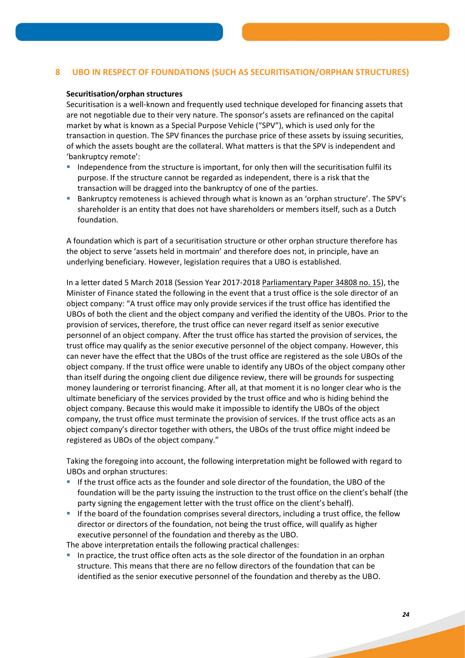# **8 UBO IN RESPECT OF FOUNDATIONS (SUCH AS SECURITISATION/ORPHAN STRUCTURES)**

#### **Securitisation/orphan structures**

Securitisation is a well-known and frequently used technique developed for financing assets that are not negotiable due to their very nature. The sponsor's assets are refinanced on the capital market by what is known as a Special Purpose Vehicle ("SPV"), which is used only for the transaction in question. The SPV finances the purchase price of these assets by issuing securities, of which the assets bought are the collateral. What matters is that the SPV is independent and 'bankruptcy remote':

- Independence from the structure is important, for only then will the securitisation fulfil its purpose. If the structure cannot be regarded as independent, there is a risk that the transaction will be dragged into the bankruptcy of one of the parties.
- Bankruptcy remoteness is achieved through what is known as an 'orphan structure'. The SPV's shareholder is an entity that does not have shareholders or members itself, such as a Dutch foundation.

A foundation which is part of a securitisation structure or other orphan structure therefore has the object to serve 'assets held in mortmain' and therefore does not, in principle, have an underlying beneficiary. However, legislation requires that a UBO is established.

In a letter dated 5 March 2018 (Session Year 2017-2018 Parliamentary Paper 34808 no. 15), the Minister of Finance stated the following in the event that a trust office is the sole director of an object company: "A trust office may only provide services if the trust office has identified the UBOs of both the client and the object company and verified the identity of the UBOs. Prior to the provision of services, therefore, the trust office can never regard itself as senior executive personnel of an object company. After the trust office has started the provision of services, the trust office may qualify as the senior executive personnel of the object company. However, this can never have the effect that the UBOs of the trust office are registered as the sole UBOs of the object company. If the trust office were unable to identify any UBOs of the object company other than itself during the ongoing client due diligence review, there will be grounds for suspecting money laundering or terrorist financing. After all, at that moment it is no longer clear who is the ultimate beneficiary of the services provided by the trust office and who is hiding behind the object company. Because this would make it impossible to identify the UBOs of the object company, the trust office must terminate the provision of services. If the trust office acts as an object company's director together with others, the UBOs of the trust office might indeed be registered as UBOs of the object company."

Taking the foregoing into account, the following interpretation might be followed with regard to UBOs and orphan structures:

- If the trust office acts as the founder and sole director of the foundation, the UBO of the foundation will be the party issuing the instruction to the trust office on the client's behalf (the party signing the engagement letter with the trust office on the client's behalf).
- If the board of the foundation comprises several directors, including a trust office, the fellow director or directors of the foundation, not being the trust office, will qualify as higher executive personnel of the foundation and thereby as the UBO.

The above interpretation entails the following practical challenges:

 In practice, the trust office often acts as the sole director of the foundation in an orphan structure. This means that there are no fellow directors of the foundation that can be identified as the senior executive personnel of the foundation and thereby as the UBO.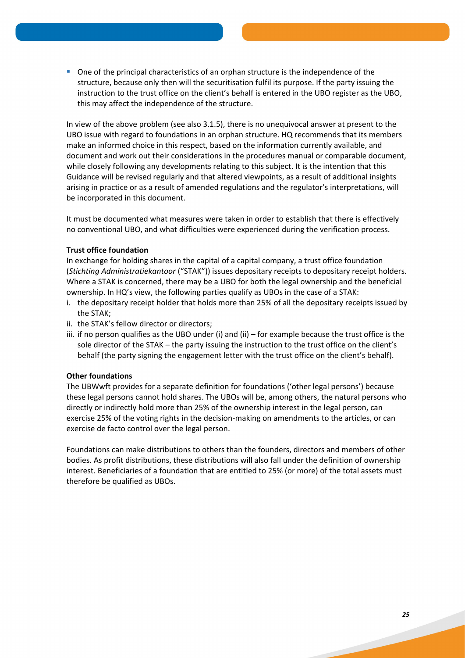One of the principal characteristics of an orphan structure is the independence of the structure, because only then will the securitisation fulfil its purpose. If the party issuing the instruction to the trust office on the client's behalf is entered in the UBO register as the UBO, this may affect the independence of the structure.

In view of the above problem (see also 3.1.5), there is no unequivocal answer at present to the UBO issue with regard to foundations in an orphan structure. HQ recommends that its members make an informed choice in this respect, based on the information currently available, and document and work out their considerations in the procedures manual or comparable document, while closely following any developments relating to this subject. It is the intention that this Guidance will be revised regularly and that altered viewpoints, as a result of additional insights arising in practice or as a result of amended regulations and the regulator's interpretations, will be incorporated in this document.

It must be documented what measures were taken in order to establish that there is effectively no conventional UBO, and what difficulties were experienced during the verification process.

# **Trust office foundation**

In exchange for holding shares in the capital of a capital company, a trust office foundation (*Stichting Administratiekantoor* ("STAK")) issues depositary receipts to depositary receipt holders. Where a STAK is concerned, there may be a UBO for both the legal ownership and the beneficial ownership. In HQ's view, the following parties qualify as UBOs in the case of a STAK:

- i. the depositary receipt holder that holds more than 25% of all the depositary receipts issued by the STAK;
- ii. the STAK's fellow director or directors;
- iii. if no person qualifies as the UBO under (i) and (ii) for example because the trust office is the sole director of the STAK – the party issuing the instruction to the trust office on the client's behalf (the party signing the engagement letter with the trust office on the client's behalf).

# **Other foundations**

The UBWwft provides for a separate definition for foundations ('other legal persons') because these legal persons cannot hold shares. The UBOs will be, among others, the natural persons who directly or indirectly hold more than 25% of the ownership interest in the legal person, can exercise 25% of the voting rights in the decision-making on amendments to the articles, or can exercise de facto control over the legal person.

Foundations can make distributions to others than the founders, directors and members of other bodies. As profit distributions, these distributions will also fall under the definition of ownership interest. Beneficiaries of a foundation that are entitled to 25% (or more) of the total assets must therefore be qualified as UBOs.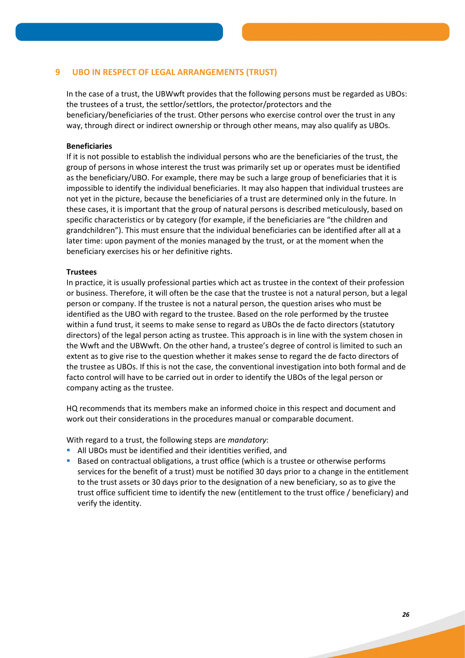# **9 UBO IN RESPECT OF LEGAL ARRANGEMENTS (TRUST)**

In the case of a trust, the UBWwft provides that the following persons must be regarded as UBOs: the trustees of a trust, the settlor/settlors, the protector/protectors and the beneficiary/beneficiaries of the trust. Other persons who exercise control over the trust in any way, through direct or indirect ownership or through other means, may also qualify as UBOs.

## **Beneficiaries**

If it is not possible to establish the individual persons who are the beneficiaries of the trust, the group of persons in whose interest the trust was primarily set up or operates must be identified as the beneficiary/UBO. For example, there may be such a large group of beneficiaries that it is impossible to identify the individual beneficiaries. It may also happen that individual trustees are not yet in the picture, because the beneficiaries of a trust are determined only in the future. In these cases, it is important that the group of natural persons is described meticulously, based on specific characteristics or by category (for example, if the beneficiaries are "the children and grandchildren"). This must ensure that the individual beneficiaries can be identified after all at a later time: upon payment of the monies managed by the trust, or at the moment when the beneficiary exercises his or her definitive rights.

## **Trustees**

In practice, it is usually professional parties which act as trustee in the context of their profession or business. Therefore, it will often be the case that the trustee is not a natural person, but a legal person or company. If the trustee is not a natural person, the question arises who must be identified as the UBO with regard to the trustee. Based on the role performed by the trustee within a fund trust, it seems to make sense to regard as UBOs the de facto directors (statutory directors) of the legal person acting as trustee. This approach is in line with the system chosen in the Wwft and the UBWwft. On the other hand, a trustee's degree of control is limited to such an extent as to give rise to the question whether it makes sense to regard the de facto directors of the trustee as UBOs. If this is not the case, the conventional investigation into both formal and de facto control will have to be carried out in order to identify the UBOs of the legal person or company acting as the trustee.

HQ recommends that its members make an informed choice in this respect and document and work out their considerations in the procedures manual or comparable document.

With regard to a trust, the following steps are *mandatory*:

- All UBOs must be identified and their identities verified, and
- Based on contractual obligations, a trust office (which is a trustee or otherwise performs services for the benefit of a trust) must be notified 30 days prior to a change in the entitlement to the trust assets or 30 days prior to the designation of a new beneficiary, so as to give the trust office sufficient time to identify the new (entitlement to the trust office / beneficiary) and verify the identity.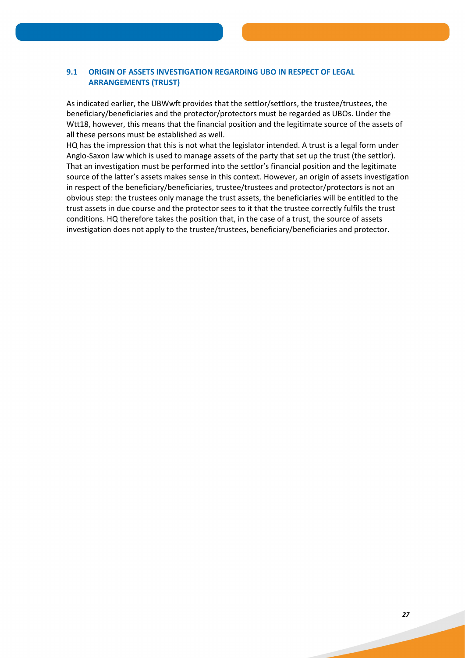# **9.1 ORIGIN OF ASSETS INVESTIGATION REGARDING UBO IN RESPECT OF LEGAL ARRANGEMENTS (TRUST)**

As indicated earlier, the UBWwft provides that the settlor/settlors, the trustee/trustees, the beneficiary/beneficiaries and the protector/protectors must be regarded as UBOs. Under the Wtt18, however, this means that the financial position and the legitimate source of the assets of all these persons must be established as well.

HQ has the impression that this is not what the legislator intended. A trust is a legal form under Anglo-Saxon law which is used to manage assets of the party that set up the trust (the settlor). That an investigation must be performed into the settlor's financial position and the legitimate source of the latter's assets makes sense in this context. However, an origin of assets investigation in respect of the beneficiary/beneficiaries, trustee/trustees and protector/protectors is not an obvious step: the trustees only manage the trust assets, the beneficiaries will be entitled to the trust assets in due course and the protector sees to it that the trustee correctly fulfils the trust conditions. HQ therefore takes the position that, in the case of a trust, the source of assets investigation does not apply to the trustee/trustees, beneficiary/beneficiaries and protector.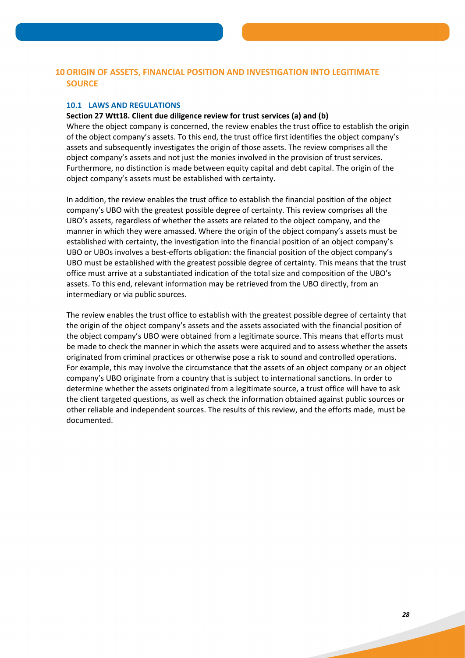# **10 ORIGIN OF ASSETS, FINANCIAL POSITION AND INVESTIGATION INTO LEGITIMATE SOURCE**

## **10.1 LAWS AND REGULATIONS**

# **Section 27 Wtt18. Client due diligence review for trust services (a) and (b)**

Where the object company is concerned, the review enables the trust office to establish the origin of the object company's assets. To this end, the trust office first identifies the object company's assets and subsequently investigates the origin of those assets. The review comprises all the object company's assets and not just the monies involved in the provision of trust services. Furthermore, no distinction is made between equity capital and debt capital. The origin of the object company's assets must be established with certainty.

In addition, the review enables the trust office to establish the financial position of the object company's UBO with the greatest possible degree of certainty. This review comprises all the UBO's assets, regardless of whether the assets are related to the object company, and the manner in which they were amassed. Where the origin of the object company's assets must be established with certainty, the investigation into the financial position of an object company's UBO or UBOs involves a best-efforts obligation: the financial position of the object company's UBO must be established with the greatest possible degree of certainty. This means that the trust office must arrive at a substantiated indication of the total size and composition of the UBO's assets. To this end, relevant information may be retrieved from the UBO directly, from an intermediary or via public sources.

The review enables the trust office to establish with the greatest possible degree of certainty that the origin of the object company's assets and the assets associated with the financial position of the object company's UBO were obtained from a legitimate source. This means that efforts must be made to check the manner in which the assets were acquired and to assess whether the assets originated from criminal practices or otherwise pose a risk to sound and controlled operations. For example, this may involve the circumstance that the assets of an object company or an object company's UBO originate from a country that is subject to international sanctions. In order to determine whether the assets originated from a legitimate source, a trust office will have to ask the client targeted questions, as well as check the information obtained against public sources or other reliable and independent sources. The results of this review, and the efforts made, must be documented.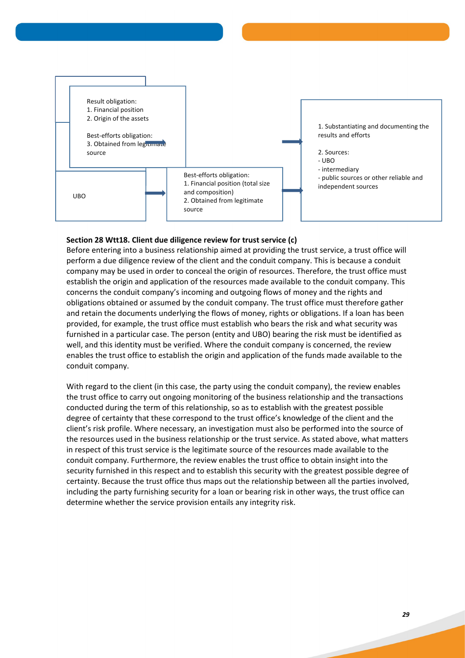

# **Section 28 Wtt18. Client due diligence review for trust service (c)**

Before entering into a business relationship aimed at providing the trust service, a trust office will perform a due diligence review of the client and the conduit company. This is because a conduit company may be used in order to conceal the origin of resources. Therefore, the trust office must establish the origin and application of the resources made available to the conduit company. This concerns the conduit company's incoming and outgoing flows of money and the rights and obligations obtained or assumed by the conduit company. The trust office must therefore gather and retain the documents underlying the flows of money, rights or obligations. If a loan has been provided, for example, the trust office must establish who bears the risk and what security was furnished in a particular case. The person (entity and UBO) bearing the risk must be identified as well, and this identity must be verified. Where the conduit company is concerned, the review enables the trust office to establish the origin and application of the funds made available to the conduit company.

With regard to the client (in this case, the party using the conduit company), the review enables the trust office to carry out ongoing monitoring of the business relationship and the transactions conducted during the term of this relationship, so as to establish with the greatest possible degree of certainty that these correspond to the trust office's knowledge of the client and the client's risk profile. Where necessary, an investigation must also be performed into the source of the resources used in the business relationship or the trust service. As stated above, what matters in respect of this trust service is the legitimate source of the resources made available to the conduit company. Furthermore, the review enables the trust office to obtain insight into the security furnished in this respect and to establish this security with the greatest possible degree of certainty. Because the trust office thus maps out the relationship between all the parties involved, including the party furnishing security for a loan or bearing risk in other ways, the trust office can determine whether the service provision entails any integrity risk.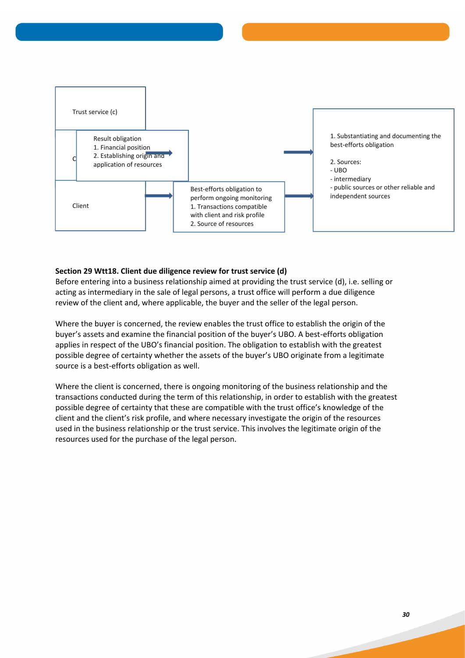

## **Section 29 Wtt18. Client due diligence review for trust service (d)**

Before entering into a business relationship aimed at providing the trust service (d), i.e. selling or acting as intermediary in the sale of legal persons, a trust office will perform a due diligence review of the client and, where applicable, the buyer and the seller of the legal person.

Where the buyer is concerned, the review enables the trust office to establish the origin of the buyer's assets and examine the financial position of the buyer's UBO. A best-efforts obligation applies in respect of the UBO's financial position. The obligation to establish with the greatest possible degree of certainty whether the assets of the buyer's UBO originate from a legitimate source is a best-efforts obligation as well.

Where the client is concerned, there is ongoing monitoring of the business relationship and the transactions conducted during the term of this relationship, in order to establish with the greatest possible degree of certainty that these are compatible with the trust office's knowledge of the client and the client's risk profile, and where necessary investigate the origin of the resources used in the business relationship or the trust service. This involves the legitimate origin of the resources used for the purchase of the legal person.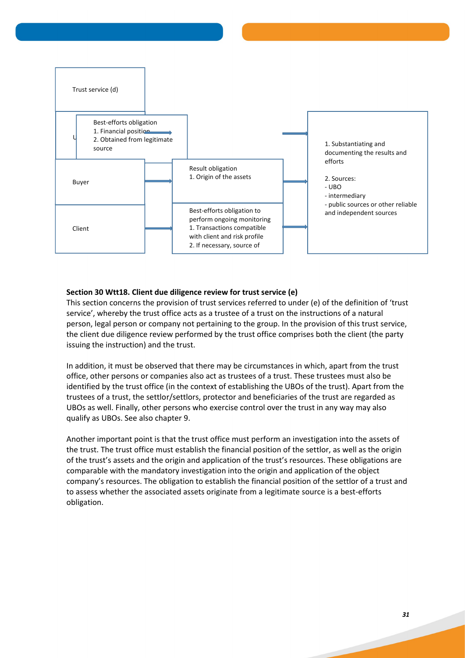

# **Section 30 Wtt18. Client due diligence review for trust service (e)**

This section concerns the provision of trust services referred to under (e) of the definition of 'trust service', whereby the trust office acts as a trustee of a trust on the instructions of a natural person, legal person or company not pertaining to the group. In the provision of this trust service, the client due diligence review performed by the trust office comprises both the client (the party issuing the instruction) and the trust.

In addition, it must be observed that there may be circumstances in which, apart from the trust office, other persons or companies also act as trustees of a trust. These trustees must also be identified by the trust office (in the context of establishing the UBOs of the trust). Apart from the trustees of a trust, the settlor/settlors, protector and beneficiaries of the trust are regarded as UBOs as well. Finally, other persons who exercise control over the trust in any way may also qualify as UBOs. See also chapter 9.

Another important point is that the trust office must perform an investigation into the assets of the trust. The trust office must establish the financial position of the settlor, as well as the origin of the trust's assets and the origin and application of the trust's resources. These obligations are comparable with the mandatory investigation into the origin and application of the object company's resources. The obligation to establish the financial position of the settlor of a trust and to assess whether the associated assets originate from a legitimate source is a best-efforts obligation.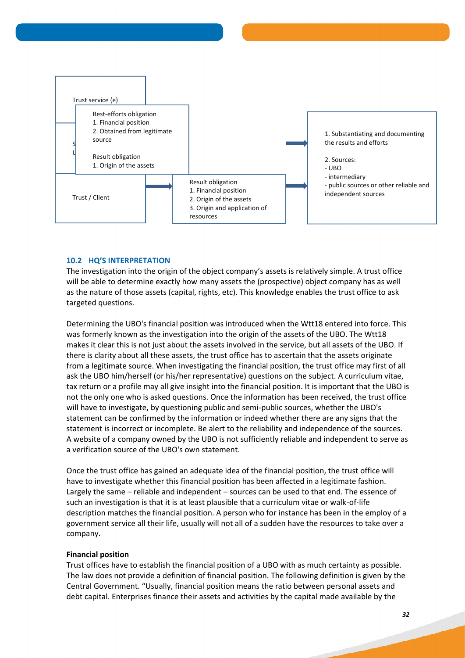

# **10.2 HQ'S INTERPRETATION**

The investigation into the origin of the object company's assets is relatively simple. A trust office will be able to determine exactly how many assets the (prospective) object company has as well as the nature of those assets (capital, rights, etc). This knowledge enables the trust office to ask targeted questions.

Determining the UBO's financial position was introduced when the Wtt18 entered into force. This was formerly known as the investigation into the origin of the assets of the UBO. The Wtt18 makes it clear this is not just about the assets involved in the service, but all assets of the UBO. If there is clarity about all these assets, the trust office has to ascertain that the assets originate from a legitimate source. When investigating the financial position, the trust office may first of all ask the UBO him/herself (or his/her representative) questions on the subject. A curriculum vitae, tax return or a profile may all give insight into the financial position. It is important that the UBO is not the only one who is asked questions. Once the information has been received, the trust office will have to investigate, by questioning public and semi-public sources, whether the UBO's statement can be confirmed by the information or indeed whether there are any signs that the statement is incorrect or incomplete. Be alert to the reliability and independence of the sources. A website of a company owned by the UBO is not sufficiently reliable and independent to serve as a verification source of the UBO's own statement.

Once the trust office has gained an adequate idea of the financial position, the trust office will have to investigate whether this financial position has been affected in a legitimate fashion. Largely the same – reliable and independent – sources can be used to that end. The essence of such an investigation is that it is at least plausible that a curriculum vitae or walk-of-life description matches the financial position. A person who for instance has been in the employ of a government service all their life, usually will not all of a sudden have the resources to take over a company.

## **Financial position**

Trust offices have to establish the financial position of a UBO with as much certainty as possible. The law does not provide a definition of financial position. The following definition is given by the Central Government. "Usually, financial position means the ratio between personal assets and debt capital. Enterprises finance their assets and activities by the capital made available by the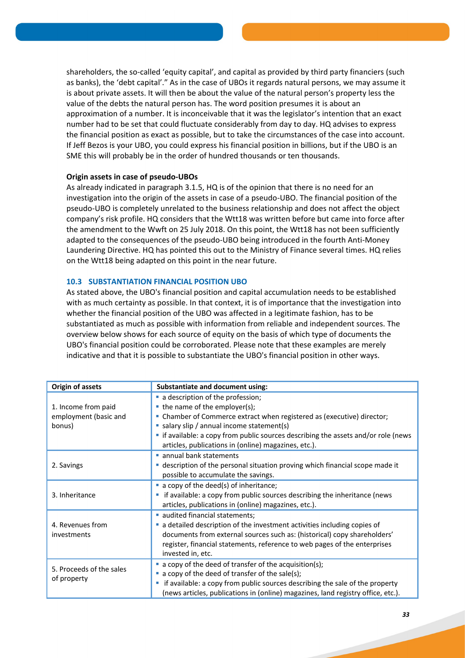shareholders, the so-called 'equity capital', and capital as provided by third party financiers (such as banks), the 'debt capital'." As in the case of UBOs it regards natural persons, we may assume it is about private assets. It will then be about the value of the natural person's property less the value of the debts the natural person has. The word position presumes it is about an approximation of a number. It is inconceivable that it was the legislator's intention that an exact number had to be set that could fluctuate considerably from day to day. HQ advises to express the financial position as exact as possible, but to take the circumstances of the case into account. If Jeff Bezos is your UBO, you could express his financial position in billions, but if the UBO is an SME this will probably be in the order of hundred thousands or ten thousands.

## **Origin assets in case of pseudo-UBOs**

As already indicated in paragraph 3.1.5, HQ is of the opinion that there is no need for an investigation into the origin of the assets in case of a pseudo-UBO. The financial position of the pseudo-UBO is completely unrelated to the business relationship and does not affect the object company's risk profile. HQ considers that the Wtt18 was written before but came into force after the amendment to the Wwft on 25 July 2018. On this point, the Wtt18 has not been sufficiently adapted to the consequences of the pseudo-UBO being introduced in the fourth Anti-Money Laundering Directive. HQ has pointed this out to the Ministry of Finance several times. HQ relies on the Wtt18 being adapted on this point in the near future.

## **10.3 SUBSTANTIATION FINANCIAL POSITION UBO**

As stated above, the UBO's financial position and capital accumulation needs to be established with as much certainty as possible. In that context, it is of importance that the investigation into whether the financial position of the UBO was affected in a legitimate fashion, has to be substantiated as much as possible with information from reliable and independent sources. The overview below shows for each source of equity on the basis of which type of documents the UBO's financial position could be corroborated. Please note that these examples are merely indicative and that it is possible to substantiate the UBO's financial position in other ways.

| <b>Origin of assets</b>                                | <b>Substantiate and document using:</b>                                                                                                                                                                                                                                                  |  |  |
|--------------------------------------------------------|------------------------------------------------------------------------------------------------------------------------------------------------------------------------------------------------------------------------------------------------------------------------------------------|--|--|
| 1. Income from paid<br>employment (basic and<br>bonus) | a description of the profession;<br>• the name of the employer(s);<br>• Chamber of Commerce extract when registered as (executive) director;<br>• salary slip / annual income statement(s)                                                                                               |  |  |
|                                                        | • if available: a copy from public sources describing the assets and/or role (news<br>articles, publications in (online) magazines, etc.).                                                                                                                                               |  |  |
| 2. Savings                                             | annual bank statements<br>description of the personal situation proving which financial scope made it<br><b>I</b><br>possible to accumulate the savings.                                                                                                                                 |  |  |
| 3. Inheritance                                         | a copy of the deed(s) of inheritance;<br>if available: a copy from public sources describing the inheritance (news<br>ш<br>articles, publications in (online) magazines, etc.).                                                                                                          |  |  |
| 4. Revenues from<br>investments                        | audited financial statements;<br>• a detailed description of the investment activities including copies of<br>documents from external sources such as: (historical) copy shareholders'<br>register, financial statements, reference to web pages of the enterprises<br>invested in, etc. |  |  |
| 5. Proceeds of the sales<br>of property                | • a copy of the deed of transfer of the acquisition(s);<br>• a copy of the deed of transfer of the sale(s);<br>if available: a copy from public sources describing the sale of the property<br>ш<br>(news articles, publications in (online) magazines, land registry office, etc.).     |  |  |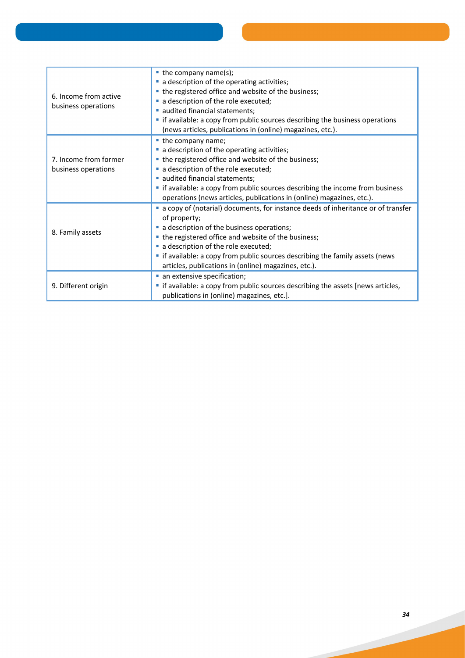| 6. Income from active<br>business operations | $\blacksquare$ the company name(s);<br>a description of the operating activities;<br>• the registered office and website of the business;<br>a description of the role executed;<br>audited financial statements;<br>• if available: a copy from public sources describing the business operations<br>(news articles, publications in (online) magazines, etc.).                        |  |  |
|----------------------------------------------|-----------------------------------------------------------------------------------------------------------------------------------------------------------------------------------------------------------------------------------------------------------------------------------------------------------------------------------------------------------------------------------------|--|--|
| 7. Income from former<br>business operations | the company name;<br>a description of the operating activities;<br>• the registered office and website of the business;<br>a description of the role executed;<br>audited financial statements;<br>• if available: a copy from public sources describing the income from business<br>operations (news articles, publications in (online) magazines, etc.).                              |  |  |
| 8. Family assets                             | • a copy of (notarial) documents, for instance deeds of inheritance or of transfer<br>of property;<br>a description of the business operations;<br>• the registered office and website of the business;<br>a description of the role executed;<br>• if available: a copy from public sources describing the family assets (news<br>articles, publications in (online) magazines, etc.). |  |  |
| 9. Different origin                          | an extensive specification;<br>• if available: a copy from public sources describing the assets [news articles,<br>publications in (online) magazines, etc.].                                                                                                                                                                                                                           |  |  |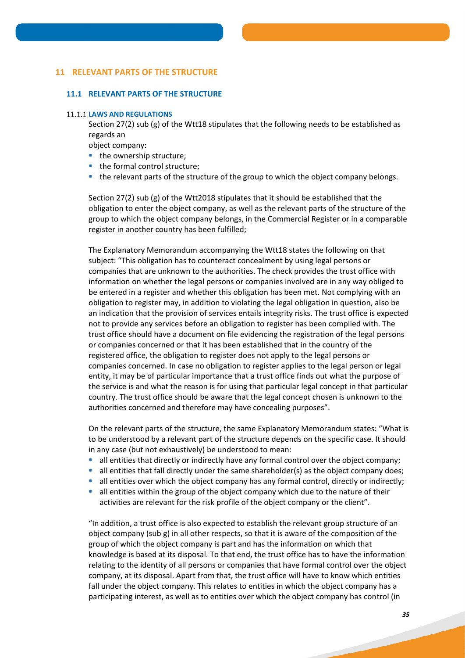# **11 RELEVANT PARTS OF THE STRUCTURE**

#### **11.1 RELEVANT PARTS OF THE STRUCTURE**

#### **11.1.1 LAWS AND REGULATIONS**

Section 27(2) sub (g) of the Wtt18 stipulates that the following needs to be established as regards an

object company:

- $\blacksquare$  the ownership structure;
- the formal control structure;
- the relevant parts of the structure of the group to which the object company belongs.

Section 27(2) sub (g) of the Wtt2018 stipulates that it should be established that the obligation to enter the object company, as well as the relevant parts of the structure of the group to which the object company belongs, in the Commercial Register or in a comparable register in another country has been fulfilled;

The Explanatory Memorandum accompanying the Wtt18 states the following on that subject: "This obligation has to counteract concealment by using legal persons or companies that are unknown to the authorities. The check provides the trust office with information on whether the legal persons or companies involved are in any way obliged to be entered in a register and whether this obligation has been met. Not complying with an obligation to register may, in addition to violating the legal obligation in question, also be an indication that the provision of services entails integrity risks. The trust office is expected not to provide any services before an obligation to register has been complied with. The trust office should have a document on file evidencing the registration of the legal persons or companies concerned or that it has been established that in the country of the registered office, the obligation to register does not apply to the legal persons or companies concerned. In case no obligation to register applies to the legal person or legal entity, it may be of particular importance that a trust office finds out what the purpose of the service is and what the reason is for using that particular legal concept in that particular country. The trust office should be aware that the legal concept chosen is unknown to the authorities concerned and therefore may have concealing purposes".

On the relevant parts of the structure, the same Explanatory Memorandum states: "What is to be understood by a relevant part of the structure depends on the specific case. It should in any case (but not exhaustively) be understood to mean:

- all entities that directly or indirectly have any formal control over the object company;
- all entities that fall directly under the same shareholder(s) as the object company does;
- all entities over which the object company has any formal control, directly or indirectly;
- $\blacksquare$  all entities within the group of the object company which due to the nature of their activities are relevant for the risk profile of the object company or the client".

"In addition, a trust office is also expected to establish the relevant group structure of an object company (sub g) in all other respects, so that it is aware of the composition of the group of which the object company is part and has the information on which that knowledge is based at its disposal. To that end, the trust office has to have the information relating to the identity of all persons or companies that have formal control over the object company, at its disposal. Apart from that, the trust office will have to know which entities fall under the object company. This relates to entities in which the object company has a participating interest, as well as to entities over which the object company has control (in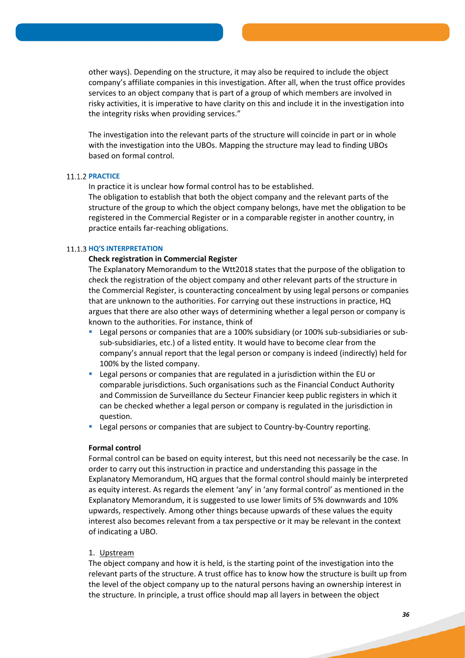other ways). Depending on the structure, it may also be required to include the object company's affiliate companies in this investigation. After all, when the trust office provides services to an object company that is part of a group of which members are involved in risky activities, it is imperative to have clarity on this and include it in the investigation into the integrity risks when providing services."

The investigation into the relevant parts of the structure will coincide in part or in whole with the investigation into the UBOs. Mapping the structure may lead to finding UBOs based on formal control.

#### **11.1.2 PRACTICE**

In practice it is unclear how formal control has to be established.

The obligation to establish that both the object company and the relevant parts of the structure of the group to which the object company belongs, have met the obligation to be registered in the Commercial Register or in a comparable register in another country, in practice entails far-reaching obligations.

#### **11.1.3 HQ'S INTERPRETATION**

#### **Check registration in Commercial Register**

The Explanatory Memorandum to the Wtt2018 states that the purpose of the obligation to check the registration of the object company and other relevant parts of the structure in the Commercial Register, is counteracting concealment by using legal persons or companies that are unknown to the authorities. For carrying out these instructions in practice, HQ argues that there are also other ways of determining whether a legal person or company is known to the authorities. For instance, think of

- Legal persons or companies that are a 100% subsidiary (or 100% sub-subsidiaries or subsub-subsidiaries, etc.) of a listed entity. It would have to become clear from the company's annual report that the legal person or company is indeed (indirectly) held for 100% by the listed company.
- Legal persons or companies that are regulated in a jurisdiction within the EU or comparable jurisdictions. Such organisations such as the Financial Conduct Authority and Commission de Surveillance du Secteur Financier keep public registers in which it can be checked whether a legal person or company is regulated in the jurisdiction in question.
- Legal persons or companies that are subject to Country-by-Country reporting.

#### **Formal control**

Formal control can be based on equity interest, but this need not necessarily be the case. In order to carry out this instruction in practice and understanding this passage in the Explanatory Memorandum, HQ argues that the formal control should mainly be interpreted as equity interest. As regards the element 'any' in 'any formal control' as mentioned in the Explanatory Memorandum, it is suggested to use lower limits of 5% downwards and 10% upwards, respectively. Among other things because upwards of these values the equity interest also becomes relevant from a tax perspective or it may be relevant in the context of indicating a UBO.

## 1. Upstream

The object company and how it is held, is the starting point of the investigation into the relevant parts of the structure. A trust office has to know how the structure is built up from the level of the object company up to the natural persons having an ownership interest in the structure. In principle, a trust office should map all layers in between the object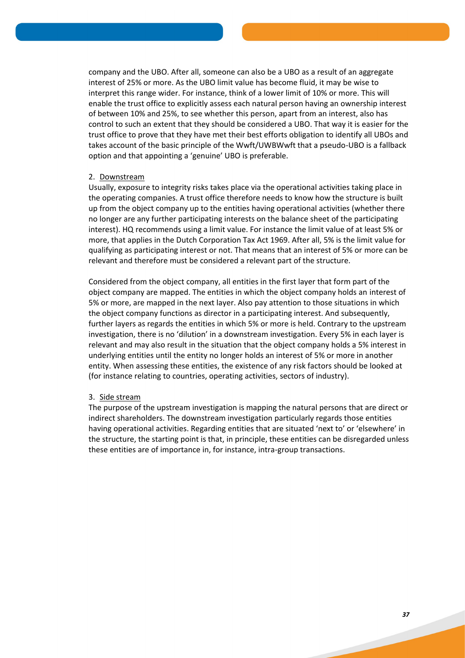company and the UBO. After all, someone can also be a UBO as a result of an aggregate interest of 25% or more. As the UBO limit value has become fluid, it may be wise to interpret this range wider. For instance, think of a lower limit of 10% or more. This will enable the trust office to explicitly assess each natural person having an ownership interest of between 10% and 25%, to see whether this person, apart from an interest, also has control to such an extent that they should be considered a UBO. That way it is easier for the trust office to prove that they have met their best efforts obligation to identify all UBOs and takes account of the basic principle of the Wwft/UWBWwft that a pseudo-UBO is a fallback option and that appointing a 'genuine' UBO is preferable.

#### 2. Downstream

Usually, exposure to integrity risks takes place via the operational activities taking place in the operating companies. A trust office therefore needs to know how the structure is built up from the object company up to the entities having operational activities (whether there no longer are any further participating interests on the balance sheet of the participating interest). HQ recommends using a limit value. For instance the limit value of at least 5% or more, that applies in the Dutch Corporation Tax Act 1969. After all, 5% is the limit value for qualifying as participating interest or not. That means that an interest of 5% or more can be relevant and therefore must be considered a relevant part of the structure.

Considered from the object company, all entities in the first layer that form part of the object company are mapped. The entities in which the object company holds an interest of 5% or more, are mapped in the next layer. Also pay attention to those situations in which the object company functions as director in a participating interest. And subsequently, further layers as regards the entities in which 5% or more is held. Contrary to the upstream investigation, there is no 'dilution' in a downstream investigation. Every 5% in each layer is relevant and may also result in the situation that the object company holds a 5% interest in underlying entities until the entity no longer holds an interest of 5% or more in another entity. When assessing these entities, the existence of any risk factors should be looked at (for instance relating to countries, operating activities, sectors of industry).

## 3. Side stream

The purpose of the upstream investigation is mapping the natural persons that are direct or indirect shareholders. The downstream investigation particularly regards those entities having operational activities. Regarding entities that are situated 'next to' or 'elsewhere' in the structure, the starting point is that, in principle, these entities can be disregarded unless these entities are of importance in, for instance, intra-group transactions.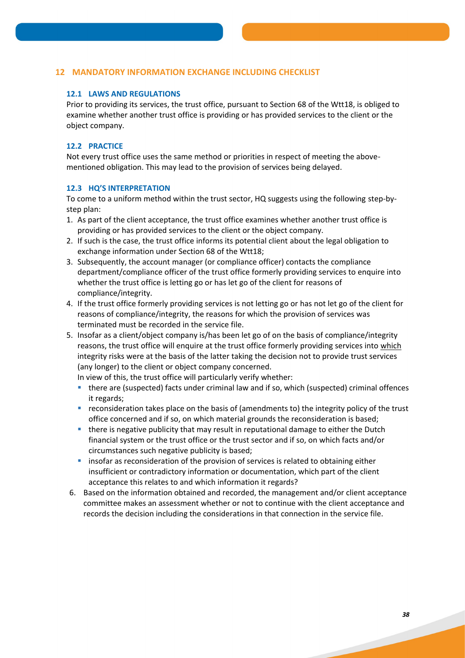# **12 MANDATORY INFORMATION EXCHANGE INCLUDING CHECKLIST**

# **12.1 LAWS AND REGULATIONS**

Prior to providing its services, the trust office, pursuant to Section 68 of the Wtt18, is obliged to examine whether another trust office is providing or has provided services to the client or the object company.

# **12.2 PRACTICE**

Not every trust office uses the same method or priorities in respect of meeting the abovementioned obligation. This may lead to the provision of services being delayed.

## **12.3 HQ'S INTERPRETATION**

To come to a uniform method within the trust sector, HQ suggests using the following step-bystep plan:

- 1. As part of the client acceptance, the trust office examines whether another trust office is providing or has provided services to the client or the object company.
- 2. If such is the case, the trust office informs its potential client about the legal obligation to exchange information under Section 68 of the Wtt18;
- 3. Subsequently, the account manager (or compliance officer) contacts the compliance department/compliance officer of the trust office formerly providing services to enquire into whether the trust office is letting go or has let go of the client for reasons of compliance/integrity.
- 4. If the trust office formerly providing services is not letting go or has not let go of the client for reasons of compliance/integrity, the reasons for which the provision of services was terminated must be recorded in the service file.
- 5. Insofar as a client/object company is/has been let go of on the basis of compliance/integrity reasons, the trust office will enquire at the trust office formerly providing services into which integrity risks were at the basis of the latter taking the decision not to provide trust services (any longer) to the client or object company concerned.

In view of this, the trust office will particularly verify whether:

- there are (suspected) facts under criminal law and if so, which (suspected) criminal offences it regards;
- **•** reconsideration takes place on the basis of (amendments to) the integrity policy of the trust office concerned and if so, on which material grounds the reconsideration is based;
- there is negative publicity that may result in reputational damage to either the Dutch financial system or the trust office or the trust sector and if so, on which facts and/or circumstances such negative publicity is based;
- **EX insofar as reconsideration of the provision of services is related to obtaining either** insufficient or contradictory information or documentation, which part of the client acceptance this relates to and which information it regards?
- 6. Based on the information obtained and recorded, the management and/or client acceptance committee makes an assessment whether or not to continue with the client acceptance and records the decision including the considerations in that connection in the service file.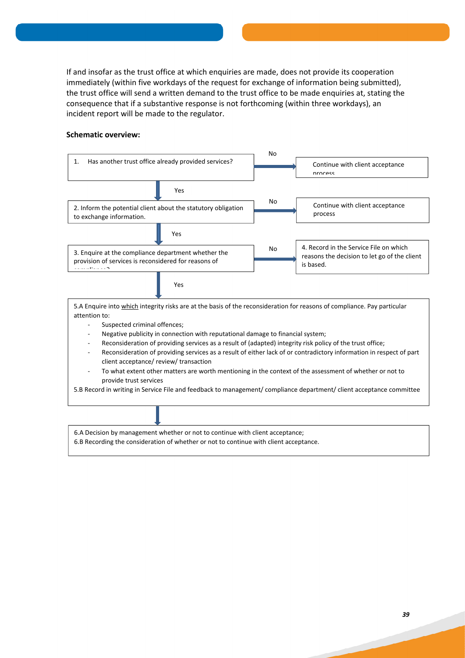If and insofar as the trust office at which enquiries are made, does not provide its cooperation immediately (within five workdays of the request for exchange of information being submitted), the trust office will send a written demand to the trust office to be made enquiries at, stating the consequence that if a substantive response is not forthcoming (within three workdays), an incident report will be made to the regulator.

## **Schematic overview:**



- Negative publicity in connection with reputational damage to financial system;
- Reconsideration of providing services as a result of (adapted) integrity risk policy of the trust office;
- Reconsideration of providing services as a result of either lack of or contradictory information in respect of part client acceptance/ review/ transaction
- To what extent other matters are worth mentioning in the context of the assessment of whether or not to provide trust services

5.B Record in writing in Service File and feedback to management/ compliance department/ client acceptance committee

6.A Decision by management whether or not to continue with client acceptance;

6.B Recording the consideration of whether or not to continue with client acceptance.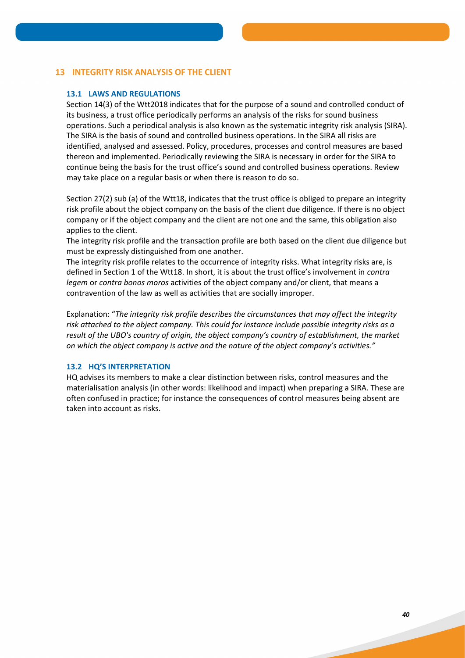# **13 INTEGRITY RISK ANALYSIS OF THE CLIENT**

# **13.1 LAWS AND REGULATIONS**

Section 14(3) of the Wtt2018 indicates that for the purpose of a sound and controlled conduct of its business, a trust office periodically performs an analysis of the risks for sound business operations. Such a periodical analysis is also known as the systematic integrity risk analysis (SIRA). The SIRA is the basis of sound and controlled business operations. In the SIRA all risks are identified, analysed and assessed. Policy, procedures, processes and control measures are based thereon and implemented. Periodically reviewing the SIRA is necessary in order for the SIRA to continue being the basis for the trust office's sound and controlled business operations. Review may take place on a regular basis or when there is reason to do so.

Section 27(2) sub (a) of the Wtt18, indicates that the trust office is obliged to prepare an integrity risk profile about the object company on the basis of the client due diligence. If there is no object company or if the object company and the client are not one and the same, this obligation also applies to the client.

The integrity risk profile and the transaction profile are both based on the client due diligence but must be expressly distinguished from one another.

The integrity risk profile relates to the occurrence of integrity risks. What integrity risks are, is defined in Section 1 of the Wtt18. In short, it is about the trust office's involvement in *contra legem* or *contra bonos moros* activities of the object company and/or client, that means a contravention of the law as well as activities that are socially improper.

Explanation: "*The integrity risk profile describes the circumstances that may affect the integrity risk attached to the object company. This could for instance include possible integrity risks as a result of the UBO's country of origin, the object company's country of establishment, the market on which the object company is active and the nature of the object company's activities."*

# **13.2 HQ'S INTERPRETATION**

HQ advises its members to make a clear distinction between risks, control measures and the materialisation analysis (in other words: likelihood and impact) when preparing a SIRA. These are often confused in practice; for instance the consequences of control measures being absent are taken into account as risks.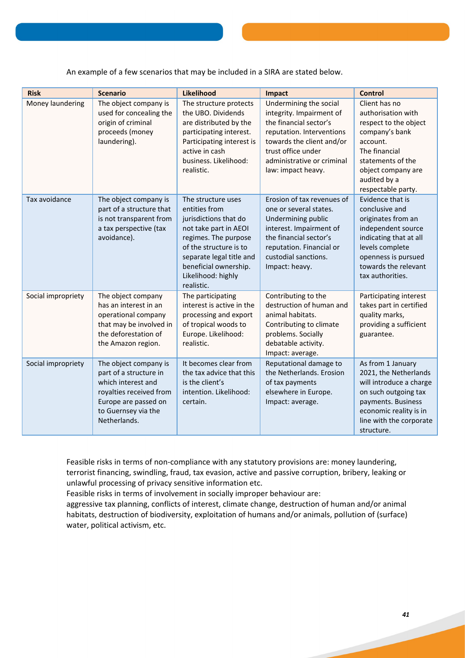An example of a few scenarios that may be included in a SIRA are stated below.

| <b>Risk</b>        | <b>Scenario</b>                                                                                                                                                 | Likelihood                                                                                                                                                                                                                       | Impact                                                                                                                                                                                                           | <b>Control</b>                                                                                                                                                                                 |
|--------------------|-----------------------------------------------------------------------------------------------------------------------------------------------------------------|----------------------------------------------------------------------------------------------------------------------------------------------------------------------------------------------------------------------------------|------------------------------------------------------------------------------------------------------------------------------------------------------------------------------------------------------------------|------------------------------------------------------------------------------------------------------------------------------------------------------------------------------------------------|
| Money laundering   | The object company is<br>used for concealing the<br>origin of criminal<br>proceeds (money<br>laundering).                                                       | The structure protects<br>the UBO. Dividends<br>are distributed by the<br>participating interest.<br>Participating interest is<br>active in cash<br>business. Likelihood:<br>realistic.                                          | Undermining the social<br>integrity. Impairment of<br>the financial sector's<br>reputation. Interventions<br>towards the client and/or<br>trust office under<br>administrative or criminal<br>law: impact heavy. | Client has no<br>authorisation with<br>respect to the object<br>company's bank<br>account.<br>The financial<br>statements of the<br>object company are<br>audited by a<br>respectable party.   |
| Tax avoidance      | The object company is<br>part of a structure that<br>is not transparent from<br>a tax perspective (tax<br>avoidance).                                           | The structure uses<br>entities from<br>jurisdictions that do<br>not take part in AEOI<br>regimes. The purpose<br>of the structure is to<br>separate legal title and<br>beneficial ownership.<br>Likelihood: highly<br>realistic. | Erosion of tax revenues of<br>one or several states.<br>Undermining public<br>interest. Impairment of<br>the financial sector's<br>reputation. Financial or<br>custodial sanctions.<br>Impact: heavy.            | Evidence that is<br>conclusive and<br>originates from an<br>independent source<br>indicating that at all<br>levels complete<br>openness is pursued<br>towards the relevant<br>tax authorities. |
| Social impropriety | The object company<br>has an interest in an<br>operational company<br>that may be involved in<br>the deforestation of<br>the Amazon region.                     | The participating<br>interest is active in the<br>processing and export<br>of tropical woods to<br>Europe. Likelihood:<br>realistic.                                                                                             | Contributing to the<br>destruction of human and<br>animal habitats.<br>Contributing to climate<br>problems. Socially<br>debatable activity.<br>Impact: average.                                                  | Participating interest<br>takes part in certified<br>quality marks,<br>providing a sufficient<br>guarantee.                                                                                    |
| Social impropriety | The object company is<br>part of a structure in<br>which interest and<br>royalties received from<br>Europe are passed on<br>to Guernsey via the<br>Netherlands. | It becomes clear from<br>the tax advice that this<br>is the client's<br>intention. Likelihood:<br>certain.                                                                                                                       | Reputational damage to<br>the Netherlands. Erosion<br>of tax payments<br>elsewhere in Europe.<br>Impact: average.                                                                                                | As from 1 January<br>2021, the Netherlands<br>will introduce a charge<br>on such outgoing tax<br>payments. Business<br>economic reality is in<br>line with the corporate<br>structure.         |

Feasible risks in terms of non-compliance with any statutory provisions are: money laundering, terrorist financing, swindling, fraud, tax evasion, active and passive corruption, bribery, leaking or unlawful processing of privacy sensitive information etc.

Feasible risks in terms of involvement in socially improper behaviour are:

aggressive tax planning, conflicts of interest, climate change, destruction of human and/or animal habitats, destruction of biodiversity, exploitation of humans and/or animals, pollution of (surface) water, political activism, etc.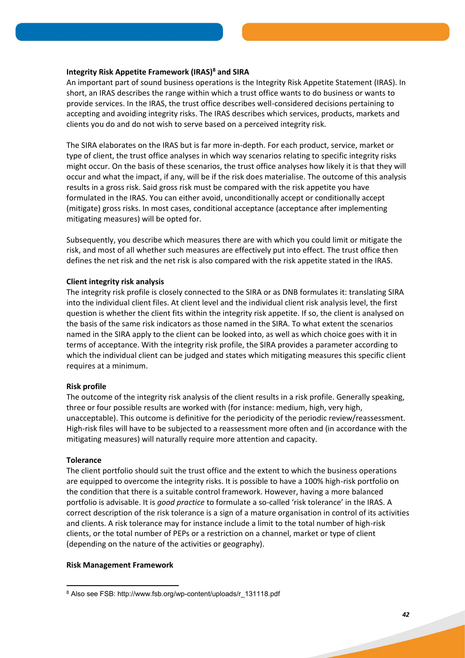## **Integrity Risk Appetite Framework (IRAS)<sup>8</sup> and SIRA**

An important part of sound business operations is the Integrity Risk Appetite Statement (IRAS). In short, an IRAS describes the range within which a trust office wants to do business or wants to provide services. In the IRAS, the trust office describes well-considered decisions pertaining to accepting and avoiding integrity risks. The IRAS describes which services, products, markets and clients you do and do not wish to serve based on a perceived integrity risk.

The SIRA elaborates on the IRAS but is far more in-depth. For each product, service, market or type of client, the trust office analyses in which way scenarios relating to specific integrity risks might occur. On the basis of these scenarios, the trust office analyses how likely it is that they will occur and what the impact, if any, will be if the risk does materialise. The outcome of this analysis results in a gross risk. Said gross risk must be compared with the risk appetite you have formulated in the IRAS. You can either avoid, unconditionally accept or conditionally accept (mitigate) gross risks. In most cases, conditional acceptance (acceptance after implementing mitigating measures) will be opted for.

Subsequently, you describe which measures there are with which you could limit or mitigate the risk, and most of all whether such measures are effectively put into effect. The trust office then defines the net risk and the net risk is also compared with the risk appetite stated in the IRAS.

#### **Client integrity risk analysis**

The integrity risk profile is closely connected to the SIRA or as DNB formulates it: translating SIRA into the individual client files. At client level and the individual client risk analysis level, the first question is whether the client fits within the integrity risk appetite. If so, the client is analysed on the basis of the same risk indicators as those named in the SIRA. To what extent the scenarios named in the SIRA apply to the client can be looked into, as well as which choice goes with it in terms of acceptance. With the integrity risk profile, the SIRA provides a parameter according to which the individual client can be judged and states which mitigating measures this specific client requires at a minimum.

#### **Risk profile**

The outcome of the integrity risk analysis of the client results in a risk profile. Generally speaking, three or four possible results are worked with (for instance: medium, high, very high, unacceptable). This outcome is definitive for the periodicity of the periodic review/reassessment. High-risk files will have to be subjected to a reassessment more often and (in accordance with the mitigating measures) will naturally require more attention and capacity.

#### **Tolerance**

**.** 

The client portfolio should suit the trust office and the extent to which the business operations are equipped to overcome the integrity risks. It is possible to have a 100% high-risk portfolio on the condition that there is a suitable control framework. However, having a more balanced portfolio is advisable. It is *good practice* to formulate a so-called 'risk tolerance' in the IRAS. A correct description of the risk tolerance is a sign of a mature organisation in control of its activities and clients. A risk tolerance may for instance include a limit to the total number of high-risk clients, or the total number of PEPs or a restriction on a channel, market or type of client (depending on the nature of the activities or geography).

#### **Risk Management Framework**

<sup>8</sup> Also see FSB: http://www.fsb.org/wp-content/uploads/r 131118.pdf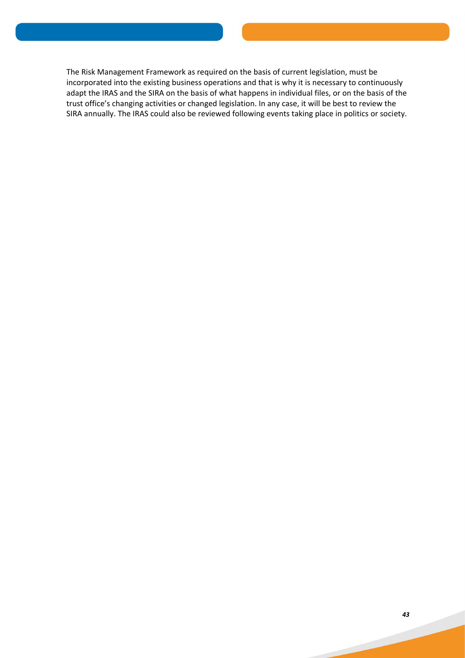The Risk Management Framework as required on the basis of current legislation, must be incorporated into the existing business operations and that is why it is necessary to continuously adapt the IRAS and the SIRA on the basis of what happens in individual files, or on the basis of the trust office's changing activities or changed legislation. In any case, it will be best to review the SIRA annually. The IRAS could also be reviewed following events taking place in politics or society.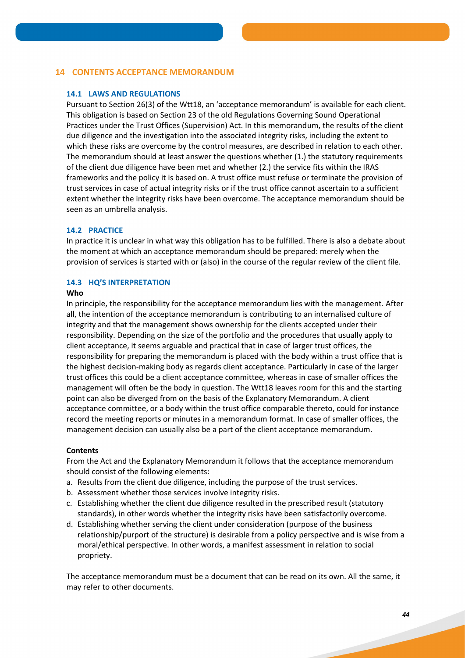# **14 CONTENTS ACCEPTANCE MEMORANDUM**

# **14.1 LAWS AND REGULATIONS**

Pursuant to Section 26(3) of the Wtt18, an 'acceptance memorandum' is available for each client. This obligation is based on Section 23 of the old Regulations Governing Sound Operational Practices under the Trust Offices (Supervision) Act. In this memorandum, the results of the client due diligence and the investigation into the associated integrity risks, including the extent to which these risks are overcome by the control measures, are described in relation to each other. The memorandum should at least answer the questions whether (1.) the statutory requirements of the client due diligence have been met and whether (2.) the service fits within the IRAS frameworks and the policy it is based on. A trust office must refuse or terminate the provision of trust services in case of actual integrity risks or if the trust office cannot ascertain to a sufficient extent whether the integrity risks have been overcome. The acceptance memorandum should be seen as an umbrella analysis.

## **14.2 PRACTICE**

In practice it is unclear in what way this obligation has to be fulfilled. There is also a debate about the moment at which an acceptance memorandum should be prepared: merely when the provision of services is started with or (also) in the course of the regular review of the client file.

## **14.3 HQ'S INTERPRETATION**

#### **Who**

In principle, the responsibility for the acceptance memorandum lies with the management. After all, the intention of the acceptance memorandum is contributing to an internalised culture of integrity and that the management shows ownership for the clients accepted under their responsibility. Depending on the size of the portfolio and the procedures that usually apply to client acceptance, it seems arguable and practical that in case of larger trust offices, the responsibility for preparing the memorandum is placed with the body within a trust office that is the highest decision-making body as regards client acceptance. Particularly in case of the larger trust offices this could be a client acceptance committee, whereas in case of smaller offices the management will often be the body in question. The Wtt18 leaves room for this and the starting point can also be diverged from on the basis of the Explanatory Memorandum. A client acceptance committee, or a body within the trust office comparable thereto, could for instance record the meeting reports or minutes in a memorandum format. In case of smaller offices, the management decision can usually also be a part of the client acceptance memorandum.

## **Contents**

From the Act and the Explanatory Memorandum it follows that the acceptance memorandum should consist of the following elements:

- a. Results from the client due diligence, including the purpose of the trust services.
- b. Assessment whether those services involve integrity risks.
- c. Establishing whether the client due diligence resulted in the prescribed result (statutory standards), in other words whether the integrity risks have been satisfactorily overcome.
- d. Establishing whether serving the client under consideration (purpose of the business relationship/purport of the structure) is desirable from a policy perspective and is wise from a moral/ethical perspective. In other words, a manifest assessment in relation to social propriety.

The acceptance memorandum must be a document that can be read on its own. All the same, it may refer to other documents.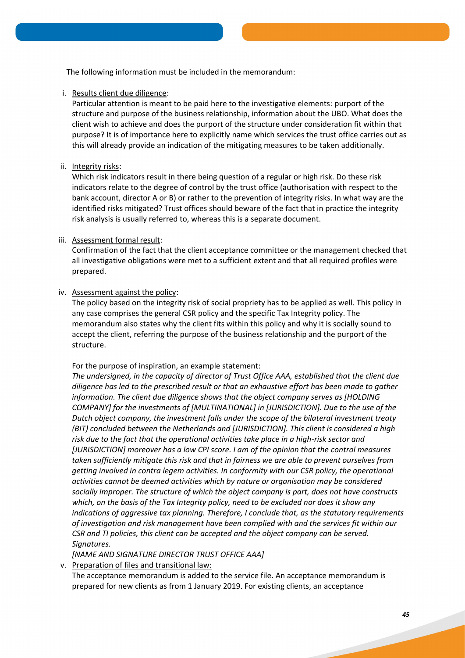The following information must be included in the memorandum:

i. Results client due diligence:

Particular attention is meant to be paid here to the investigative elements: purport of the structure and purpose of the business relationship, information about the UBO. What does the client wish to achieve and does the purport of the structure under consideration fit within that purpose? It is of importance here to explicitly name which services the trust office carries out as this will already provide an indication of the mitigating measures to be taken additionally.

## ii. Integrity risks:

Which risk indicators result in there being question of a regular or high risk. Do these risk indicators relate to the degree of control by the trust office (authorisation with respect to the bank account, director A or B) or rather to the prevention of integrity risks. In what way are the identified risks mitigated? Trust offices should beware of the fact that in practice the integrity risk analysis is usually referred to, whereas this is a separate document.

## iii. Assessment formal result:

Confirmation of the fact that the client acceptance committee or the management checked that all investigative obligations were met to a sufficient extent and that all required profiles were prepared.

## iv. Assessment against the policy:

The policy based on the integrity risk of social propriety has to be applied as well. This policy in any case comprises the general CSR policy and the specific Tax Integrity policy. The memorandum also states why the client fits within this policy and why it is socially sound to accept the client, referring the purpose of the business relationship and the purport of the structure.

## For the purpose of inspiration, an example statement:

*The undersigned, in the capacity of director of Trust Office AAA, established that the client due diligence has led to the prescribed result or that an exhaustive effort has been made to gather information. The client due diligence shows that the object company serves as [HOLDING COMPANY] for the investments of [MULTINATIONAL] in [JURISDICTION]. Due to the use of the Dutch object company, the investment falls under the scope of the bilateral investment treaty (BIT) concluded between the Netherlands and [JURISDICTION]. This client is considered a high risk due to the fact that the operational activities take place in a high-risk sector and [JURISDICTION] moreover has a low CPI score. I am of the opinion that the control measures taken sufficiently mitigate this risk and that in fairness we are able to prevent ourselves from getting involved in contra legem activities. In conformity with our CSR policy, the operational activities cannot be deemed activities which by nature or organisation may be considered socially improper. The structure of which the object company is part, does not have constructs which, on the basis of the Tax Integrity policy, need to be excluded nor does it show any indications of aggressive tax planning. Therefore, I conclude that, as the statutory requirements of investigation and risk management have been complied with and the services fit within our CSR and TI policies, this client can be accepted and the object company can be served. Signatures.*

*[NAME AND SIGNATURE DIRECTOR TRUST OFFICE AAA]* 

v. Preparation of files and transitional law:

The acceptance memorandum is added to the service file. An acceptance memorandum is prepared for new clients as from 1 January 2019. For existing clients, an acceptance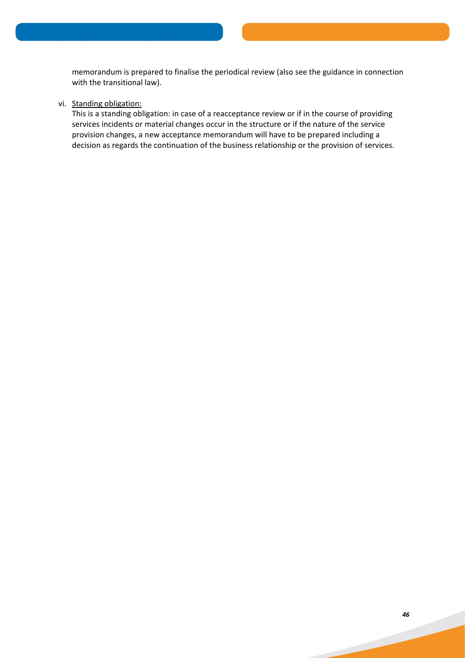memorandum is prepared to finalise the periodical review (also see the guidance in connection with the transitional law).

## vi. Standing obligation:

This is a standing obligation: in case of a reacceptance review or if in the course of providing services incidents or material changes occur in the structure or if the nature of the service provision changes, a new acceptance memorandum will have to be prepared including a decision as regards the continuation of the business relationship or the provision of services.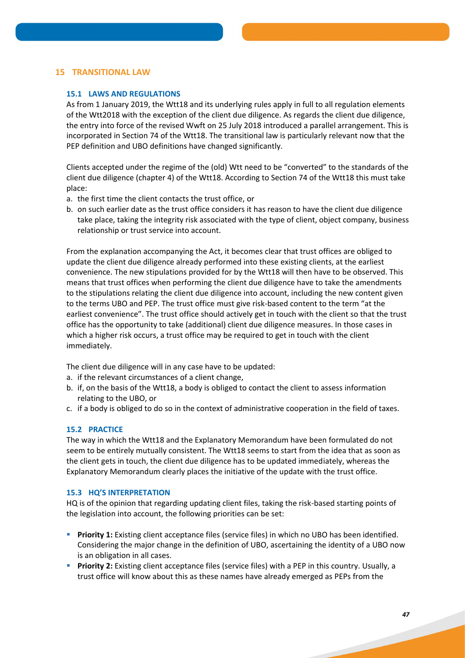# **15 TRANSITIONAL LAW**

## **15.1 LAWS AND REGULATIONS**

As from 1 January 2019, the Wtt18 and its underlying rules apply in full to all regulation elements of the Wtt2018 with the exception of the client due diligence. As regards the client due diligence, the entry into force of the revised Wwft on 25 July 2018 introduced a parallel arrangement. This is incorporated in Section 74 of the Wtt18. The transitional law is particularly relevant now that the PEP definition and UBO definitions have changed significantly.

Clients accepted under the regime of the (old) Wtt need to be "converted" to the standards of the client due diligence (chapter 4) of the Wtt18. According to Section 74 of the Wtt18 this must take place:

- a. the first time the client contacts the trust office, or
- b. on such earlier date as the trust office considers it has reason to have the client due diligence take place, taking the integrity risk associated with the type of client, object company, business relationship or trust service into account.

From the explanation accompanying the Act, it becomes clear that trust offices are obliged to update the client due diligence already performed into these existing clients, at the earliest convenience. The new stipulations provided for by the Wtt18 will then have to be observed. This means that trust offices when performing the client due diligence have to take the amendments to the stipulations relating the client due diligence into account, including the new content given to the terms UBO and PEP. The trust office must give risk-based content to the term "at the earliest convenience". The trust office should actively get in touch with the client so that the trust office has the opportunity to take (additional) client due diligence measures. In those cases in which a higher risk occurs, a trust office may be required to get in touch with the client immediately.

The client due diligence will in any case have to be updated:

- a. if the relevant circumstances of a client change,
- b. if, on the basis of the Wtt18, a body is obliged to contact the client to assess information relating to the UBO, or
- c. if a body is obliged to do so in the context of administrative cooperation in the field of taxes.

## **15.2 PRACTICE**

The way in which the Wtt18 and the Explanatory Memorandum have been formulated do not seem to be entirely mutually consistent. The Wtt18 seems to start from the idea that as soon as the client gets in touch, the client due diligence has to be updated immediately, whereas the Explanatory Memorandum clearly places the initiative of the update with the trust office.

## **15.3 HQ'S INTERPRETATION**

HQ is of the opinion that regarding updating client files, taking the risk-based starting points of the legislation into account, the following priorities can be set:

- **Priority 1:** Existing client acceptance files (service files) in which no UBO has been identified. Considering the major change in the definition of UBO, ascertaining the identity of a UBO now is an obligation in all cases.
- **Priority 2:** Existing client acceptance files (service files) with a PEP in this country. Usually, a trust office will know about this as these names have already emerged as PEPs from the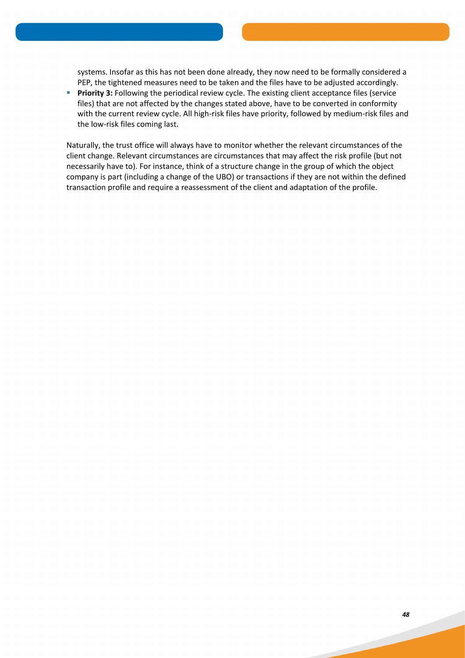systems. Insofar as this has not been done already, they now need to be formally considered a PEP, the tightened measures need to be taken and the files have to be adjusted accordingly.

**Priority 3:** Following the periodical review cycle. The existing client acceptance files (service files) that are not affected by the changes stated above, have to be converted in conformity with the current review cycle. All high-risk files have priority, followed by medium-risk files and the low-risk files coming last.

Naturally, the trust office will always have to monitor whether the relevant circumstances of the client change. Relevant circumstances are circumstances that may affect the risk profile (but not necessarily have to). For instance, think of a structure change in the group of which the object company is part (including a change of the UBO) or transactions if they are not within the defined transaction profile and require a reassessment of the client and adaptation of the profile.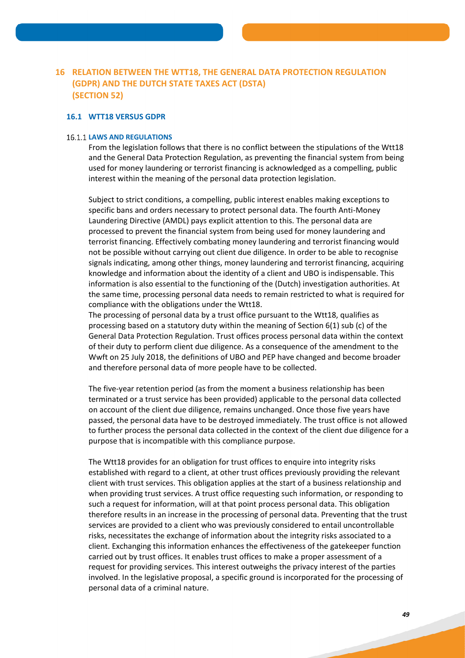# **16 RELATION BETWEEN THE WTT18, THE GENERAL DATA PROTECTION REGULATION (GDPR) AND THE DUTCH STATE TAXES ACT (DSTA) (SECTION 52)**

## **16.1 WTT18 VERSUS GDPR**

#### **16.1.1 LAWS AND REGULATIONS**

From the legislation follows that there is no conflict between the stipulations of the Wtt18 and the General Data Protection Regulation, as preventing the financial system from being used for money laundering or terrorist financing is acknowledged as a compelling, public interest within the meaning of the personal data protection legislation.

Subject to strict conditions, a compelling, public interest enables making exceptions to specific bans and orders necessary to protect personal data. The fourth Anti-Money Laundering Directive (AMDL) pays explicit attention to this. The personal data are processed to prevent the financial system from being used for money laundering and terrorist financing. Effectively combating money laundering and terrorist financing would not be possible without carrying out client due diligence. In order to be able to recognise signals indicating, among other things, money laundering and terrorist financing, acquiring knowledge and information about the identity of a client and UBO is indispensable. This information is also essential to the functioning of the (Dutch) investigation authorities. At the same time, processing personal data needs to remain restricted to what is required for compliance with the obligations under the Wtt18.

The processing of personal data by a trust office pursuant to the Wtt18, qualifies as processing based on a statutory duty within the meaning of Section 6(1) sub (c) of the General Data Protection Regulation. Trust offices process personal data within the context of their duty to perform client due diligence. As a consequence of the amendment to the Wwft on 25 July 2018, the definitions of UBO and PEP have changed and become broader and therefore personal data of more people have to be collected.

The five-year retention period (as from the moment a business relationship has been terminated or a trust service has been provided) applicable to the personal data collected on account of the client due diligence, remains unchanged. Once those five years have passed, the personal data have to be destroyed immediately. The trust office is not allowed to further process the personal data collected in the context of the client due diligence for a purpose that is incompatible with this compliance purpose.

The Wtt18 provides for an obligation for trust offices to enquire into integrity risks established with regard to a client, at other trust offices previously providing the relevant client with trust services. This obligation applies at the start of a business relationship and when providing trust services. A trust office requesting such information, or responding to such a request for information, will at that point process personal data. This obligation therefore results in an increase in the processing of personal data. Preventing that the trust services are provided to a client who was previously considered to entail uncontrollable risks, necessitates the exchange of information about the integrity risks associated to a client. Exchanging this information enhances the effectiveness of the gatekeeper function carried out by trust offices. It enables trust offices to make a proper assessment of a request for providing services. This interest outweighs the privacy interest of the parties involved. In the legislative proposal, a specific ground is incorporated for the processing of personal data of a criminal nature.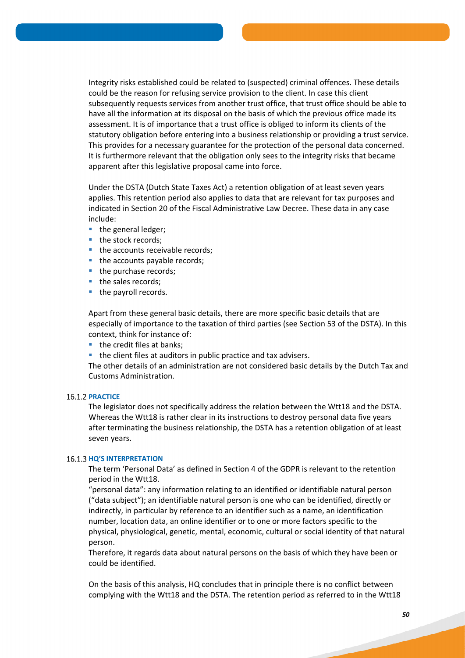Integrity risks established could be related to (suspected) criminal offences. These details could be the reason for refusing service provision to the client. In case this client subsequently requests services from another trust office, that trust office should be able to have all the information at its disposal on the basis of which the previous office made its assessment. It is of importance that a trust office is obliged to inform its clients of the statutory obligation before entering into a business relationship or providing a trust service. This provides for a necessary guarantee for the protection of the personal data concerned. It is furthermore relevant that the obligation only sees to the integrity risks that became apparent after this legislative proposal came into force.

Under the DSTA (Dutch State Taxes Act) a retention obligation of at least seven years applies. This retention period also applies to data that are relevant for tax purposes and indicated in Section 20 of the Fiscal Administrative Law Decree. These data in any case include:

- the general ledger;
- the stock records;
- the accounts receivable records;
- the accounts payable records;
- $\blacksquare$  the purchase records;
- the sales records;
- the payroll records.

Apart from these general basic details, there are more specific basic details that are especially of importance to the taxation of third parties (see Section 53 of the DSTA). In this context, think for instance of:

- $\blacksquare$  the credit files at banks;
- the client files at auditors in public practice and tax advisers.

The other details of an administration are not considered basic details by the Dutch Tax and Customs Administration.

## **16.1.2 PRACTICE**

The legislator does not specifically address the relation between the Wtt18 and the DSTA. Whereas the Wtt18 is rather clear in its instructions to destroy personal data five years after terminating the business relationship, the DSTA has a retention obligation of at least seven years.

#### **16.1.3 HO'S INTERPRETATION**

The term 'Personal Data' as defined in Section 4 of the GDPR is relevant to the retention period in the Wtt18.

"personal data": any information relating to an identified or identifiable natural person ("data subject"); an identifiable natural person is one who can be identified, directly or indirectly, in particular by reference to an identifier such as a name, an identification number, location data, an online identifier or to one or more factors specific to the physical, physiological, genetic, mental, economic, cultural or social identity of that natural person.

Therefore, it regards data about natural persons on the basis of which they have been or could be identified.

On the basis of this analysis, HQ concludes that in principle there is no conflict between complying with the Wtt18 and the DSTA. The retention period as referred to in the Wtt18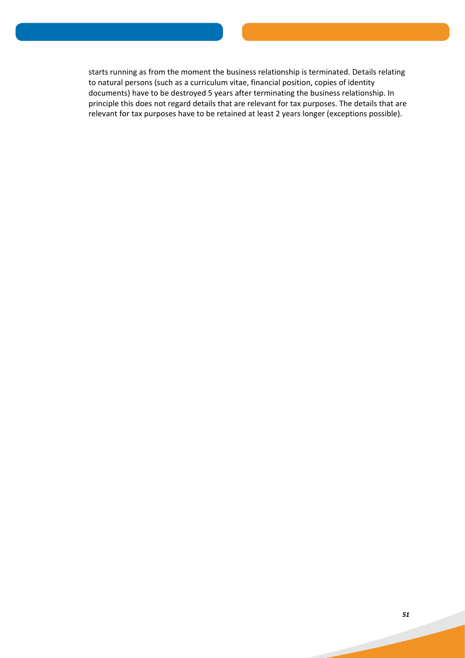starts running as from the moment the business relationship is terminated. Details relating to natural persons (such as a curriculum vitae, financial position, copies of identity documents) have to be destroyed 5 years after terminating the business relationship. In principle this does not regard details that are relevant for tax purposes. The details that are relevant for tax purposes have to be retained at least 2 years longer (exceptions possible).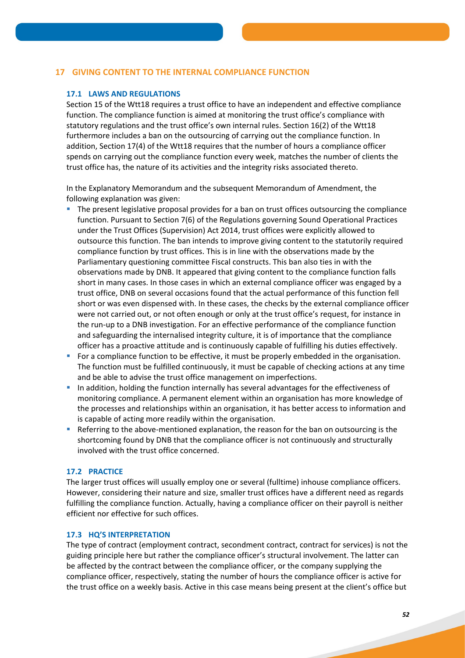# **17 GIVING CONTENT TO THE INTERNAL COMPLIANCE FUNCTION**

#### **17.1 LAWS AND REGULATIONS**

Section 15 of the Wtt18 requires a trust office to have an independent and effective compliance function. The compliance function is aimed at monitoring the trust office's compliance with statutory regulations and the trust office's own internal rules. Section 16(2) of the Wtt18 furthermore includes a ban on the outsourcing of carrying out the compliance function. In addition, Section 17(4) of the Wtt18 requires that the number of hours a compliance officer spends on carrying out the compliance function every week, matches the number of clients the trust office has, the nature of its activities and the integrity risks associated thereto.

In the Explanatory Memorandum and the subsequent Memorandum of Amendment, the following explanation was given:

- The present legislative proposal provides for a ban on trust offices outsourcing the compliance function. Pursuant to Section 7(6) of the Regulations governing Sound Operational Practices under the Trust Offices (Supervision) Act 2014, trust offices were explicitly allowed to outsource this function. The ban intends to improve giving content to the statutorily required compliance function by trust offices. This is in line with the observations made by the Parliamentary questioning committee Fiscal constructs. This ban also ties in with the observations made by DNB. It appeared that giving content to the compliance function falls short in many cases. In those cases in which an external compliance officer was engaged by a trust office, DNB on several occasions found that the actual performance of this function fell short or was even dispensed with. In these cases, the checks by the external compliance officer were not carried out, or not often enough or only at the trust office's request, for instance in the run-up to a DNB investigation. For an effective performance of the compliance function and safeguarding the internalised integrity culture, it is of importance that the compliance officer has a proactive attitude and is continuously capable of fulfilling his duties effectively.
- **For a compliance function to be effective, it must be properly embedded in the organisation.** The function must be fulfilled continuously, it must be capable of checking actions at any time and be able to advise the trust office management on imperfections.
- In addition, holding the function internally has several advantages for the effectiveness of monitoring compliance. A permanent element within an organisation has more knowledge of the processes and relationships within an organisation, it has better access to information and is capable of acting more readily within the organisation.
- Referring to the above-mentioned explanation, the reason for the ban on outsourcing is the shortcoming found by DNB that the compliance officer is not continuously and structurally involved with the trust office concerned.

#### **17.2 PRACTICE**

The larger trust offices will usually employ one or several (fulltime) inhouse compliance officers. However, considering their nature and size, smaller trust offices have a different need as regards fulfilling the compliance function. Actually, having a compliance officer on their payroll is neither efficient nor effective for such offices.

#### **17.3 HQ'S INTERPRETATION**

The type of contract (employment contract, secondment contract, contract for services) is not the guiding principle here but rather the compliance officer's structural involvement. The latter can be affected by the contract between the compliance officer, or the company supplying the compliance officer, respectively, stating the number of hours the compliance officer is active for the trust office on a weekly basis. Active in this case means being present at the client's office but